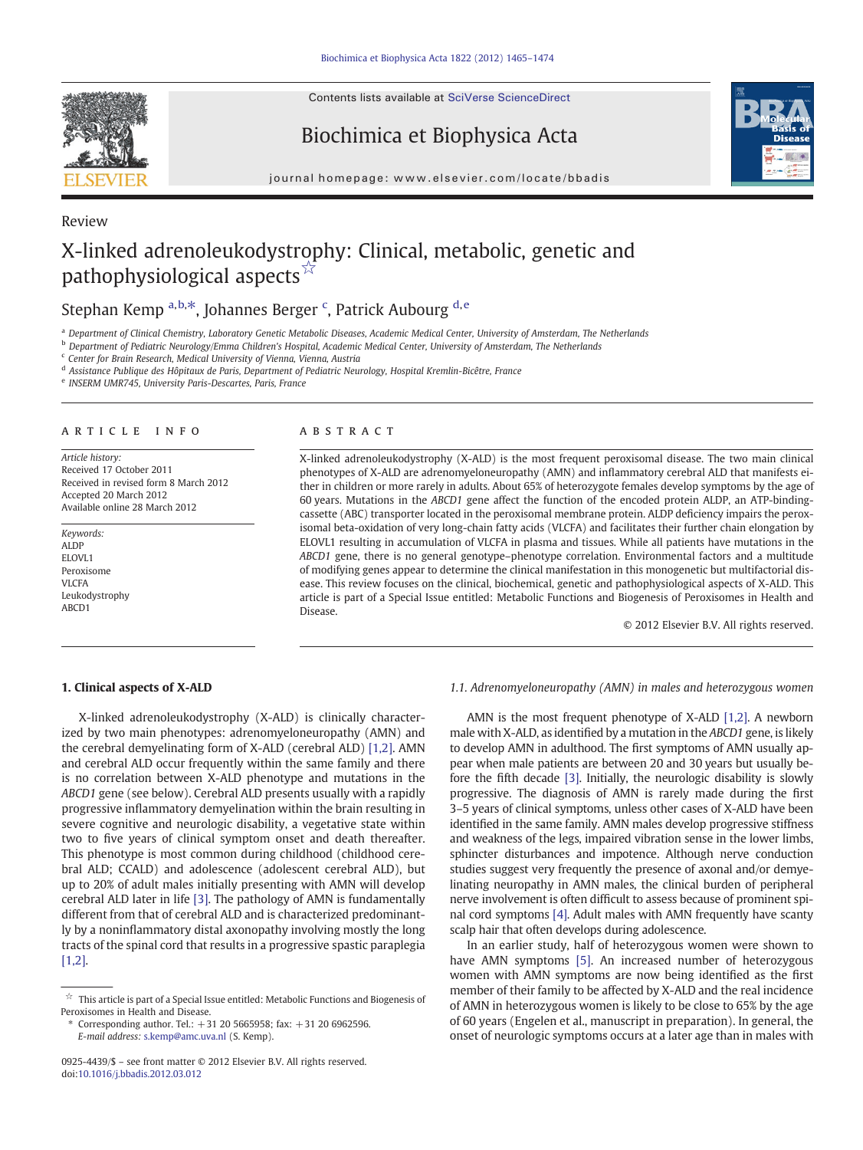Contents lists available at [SciVerse ScienceDirect](http://www.sciencedirect.com/science/journal/09254439)

Review

Biochimica et Biophysica Acta



journal homepage: www.elsevier.com/locate/bbadis

# X-linked adrenoleukodystrophy: Clinical, metabolic, genetic and pathophysiological aspects☆

## Stephan Kemp <sup>a,b,\*</sup>, Johannes Berger <sup>c</sup>, Patrick Aubourg <sup>d,e</sup>

a Department of Clinical Chemistry, Laboratory Genetic Metabolic Diseases, Academic Medical Center, University of Amsterdam, The Netherlands

**b Department of Pediatric Neurology/Emma Children's Hospital, Academic Medical Center, University of Amsterdam, The Netherlands** 

<sup>c</sup> Center for Brain Research, Medical University of Vienna, Vienna, Austria

<sup>d</sup> Assistance Publique des Hôpitaux de Paris, Department of Pediatric Neurology, Hospital Kremlin-Bicêtre, France

<sup>e</sup> INSERM UMR745, University Paris-Descartes, Paris, France

#### article info abstract

Article history: Received 17 October 2011 Received in revised form 8 March 2012 Accepted 20 March 2012 Available online 28 March 2012

Keywords: ALDP ELOVL<sub>1</sub> Peroxisome VLCFA Leukodystrophy ABCD1

X-linked adrenoleukodystrophy (X-ALD) is the most frequent peroxisomal disease. The two main clinical phenotypes of X-ALD are adrenomyeloneuropathy (AMN) and inflammatory cerebral ALD that manifests either in children or more rarely in adults. About 65% of heterozygote females develop symptoms by the age of 60 years. Mutations in the ABCD1 gene affect the function of the encoded protein ALDP, an ATP-bindingcassette (ABC) transporter located in the peroxisomal membrane protein. ALDP deficiency impairs the peroxisomal beta-oxidation of very long-chain fatty acids (VLCFA) and facilitates their further chain elongation by ELOVL1 resulting in accumulation of VLCFA in plasma and tissues. While all patients have mutations in the ABCD1 gene, there is no general genotype–phenotype correlation. Environmental factors and a multitude of modifying genes appear to determine the clinical manifestation in this monogenetic but multifactorial disease. This review focuses on the clinical, biochemical, genetic and pathophysiological aspects of X-ALD. This article is part of a Special Issue entitled: Metabolic Functions and Biogenesis of Peroxisomes in Health and Disease.

© 2012 Elsevier B.V. All rights reserved.

#### 1. Clinical aspects of X-ALD

X-linked adrenoleukodystrophy (X-ALD) is clinically characterized by two main phenotypes: adrenomyeloneuropathy (AMN) and the cerebral demyelinating form of X-ALD (cerebral ALD) [\[1,2\].](#page-7-0) AMN and cerebral ALD occur frequently within the same family and there is no correlation between X-ALD phenotype and mutations in the ABCD1 gene (see below). Cerebral ALD presents usually with a rapidly progressive inflammatory demyelination within the brain resulting in severe cognitive and neurologic disability, a vegetative state within two to five years of clinical symptom onset and death thereafter. This phenotype is most common during childhood (childhood cerebral ALD; CCALD) and adolescence (adolescent cerebral ALD), but up to 20% of adult males initially presenting with AMN will develop cerebral ALD later in life [\[3\].](#page-7-0) The pathology of AMN is fundamentally different from that of cerebral ALD and is characterized predominantly by a noninflammatory distal axonopathy involving mostly the long tracts of the spinal cord that results in a progressive spastic paraplegia [\[1,2\]](#page-7-0).

### 1.1. Adrenomyeloneuropathy (AMN) in males and heterozygous women

AMN is the most frequent phenotype of X-ALD [\[1,2\].](#page-7-0) A newborn male with X-ALD, as identified by a mutation in the ABCD1 gene, is likely to develop AMN in adulthood. The first symptoms of AMN usually appear when male patients are between 20 and 30 years but usually before the fifth decade [\[3\].](#page-7-0) Initially, the neurologic disability is slowly progressive. The diagnosis of AMN is rarely made during the first 3–5 years of clinical symptoms, unless other cases of X-ALD have been identified in the same family. AMN males develop progressive stiffness and weakness of the legs, impaired vibration sense in the lower limbs, sphincter disturbances and impotence. Although nerve conduction studies suggest very frequently the presence of axonal and/or demyelinating neuropathy in AMN males, the clinical burden of peripheral nerve involvement is often difficult to assess because of prominent spinal cord symptoms [\[4\].](#page-7-0) Adult males with AMN frequently have scanty scalp hair that often develops during adolescence.

In an earlier study, half of heterozygous women were shown to have AMN symptoms [\[5\].](#page-7-0) An increased number of heterozygous women with AMN symptoms are now being identified as the first member of their family to be affected by X-ALD and the real incidence of AMN in heterozygous women is likely to be close to 65% by the age of 60 years (Engelen et al., manuscript in preparation). In general, the onset of neurologic symptoms occurs at a later age than in males with

 $^\star \!\! \times \!\!$  This article is part of a Special Issue entitled: Metabolic Functions and Biogenesis of Peroxisomes in Health and Disease.

<sup>⁎</sup> Corresponding author. Tel.: +31 20 5665958; fax: +31 20 6962596. E-mail address: [s.kemp@amc.uva.nl](mailto:s.kemp@amc.uva.nl) (S. Kemp).

<sup>0925-4439/\$</sup> – see front matter © 2012 Elsevier B.V. All rights reserved. doi:[10.1016/j.bbadis.2012.03.012](http://dx.doi.org/10.1016/j.bbadis.2012.03.012)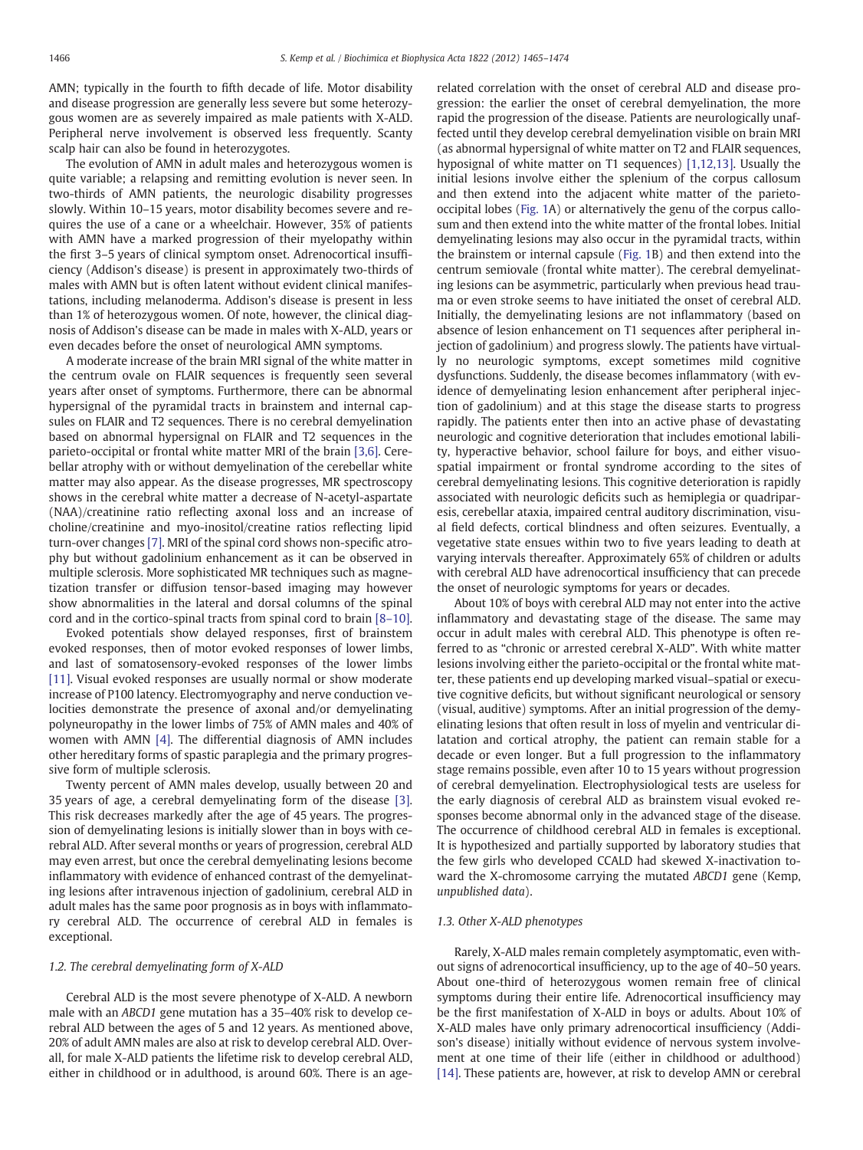AMN; typically in the fourth to fifth decade of life. Motor disability and disease progression are generally less severe but some heterozygous women are as severely impaired as male patients with X-ALD. Peripheral nerve involvement is observed less frequently. Scanty scalp hair can also be found in heterozygotes.

The evolution of AMN in adult males and heterozygous women is quite variable; a relapsing and remitting evolution is never seen. In two-thirds of AMN patients, the neurologic disability progresses slowly. Within 10–15 years, motor disability becomes severe and requires the use of a cane or a wheelchair. However, 35% of patients with AMN have a marked progression of their myelopathy within the first 3–5 years of clinical symptom onset. Adrenocortical insufficiency (Addison's disease) is present in approximately two-thirds of males with AMN but is often latent without evident clinical manifestations, including melanoderma. Addison's disease is present in less than 1% of heterozygous women. Of note, however, the clinical diagnosis of Addison's disease can be made in males with X-ALD, years or even decades before the onset of neurological AMN symptoms.

A moderate increase of the brain MRI signal of the white matter in the centrum ovale on FLAIR sequences is frequently seen several years after onset of symptoms. Furthermore, there can be abnormal hypersignal of the pyramidal tracts in brainstem and internal capsules on FLAIR and T2 sequences. There is no cerebral demyelination based on abnormal hypersignal on FLAIR and T2 sequences in the parieto-occipital or frontal white matter MRI of the brain [\[3,6\]](#page-7-0). Cerebellar atrophy with or without demyelination of the cerebellar white matter may also appear. As the disease progresses, MR spectroscopy shows in the cerebral white matter a decrease of N-acetyl-aspartate (NAA)/creatinine ratio reflecting axonal loss and an increase of choline/creatinine and myo-inositol/creatine ratios reflecting lipid turn-over changes [\[7\].](#page-7-0) MRI of the spinal cord shows non-specific atrophy but without gadolinium enhancement as it can be observed in multiple sclerosis. More sophisticated MR techniques such as magnetization transfer or diffusion tensor-based imaging may however show abnormalities in the lateral and dorsal columns of the spinal cord and in the cortico-spinal tracts from spinal cord to brain [8–[10\].](#page-7-0)

Evoked potentials show delayed responses, first of brainstem evoked responses, then of motor evoked responses of lower limbs, and last of somatosensory-evoked responses of the lower limbs [\[11\]](#page-7-0). Visual evoked responses are usually normal or show moderate increase of P100 latency. Electromyography and nerve conduction velocities demonstrate the presence of axonal and/or demyelinating polyneuropathy in the lower limbs of 75% of AMN males and 40% of women with AMN [\[4\].](#page-7-0) The differential diagnosis of AMN includes other hereditary forms of spastic paraplegia and the primary progressive form of multiple sclerosis.

Twenty percent of AMN males develop, usually between 20 and 35 years of age, a cerebral demyelinating form of the disease [\[3\].](#page-7-0) This risk decreases markedly after the age of 45 years. The progression of demyelinating lesions is initially slower than in boys with cerebral ALD. After several months or years of progression, cerebral ALD may even arrest, but once the cerebral demyelinating lesions become inflammatory with evidence of enhanced contrast of the demyelinating lesions after intravenous injection of gadolinium, cerebral ALD in adult males has the same poor prognosis as in boys with inflammatory cerebral ALD. The occurrence of cerebral ALD in females is exceptional.

### 1.2. The cerebral demyelinating form of X-ALD

Cerebral ALD is the most severe phenotype of X-ALD. A newborn male with an ABCD1 gene mutation has a 35–40% risk to develop cerebral ALD between the ages of 5 and 12 years. As mentioned above, 20% of adult AMN males are also at risk to develop cerebral ALD. Overall, for male X-ALD patients the lifetime risk to develop cerebral ALD, either in childhood or in adulthood, is around 60%. There is an age-

related correlation with the onset of cerebral ALD and disease progression: the earlier the onset of cerebral demyelination, the more rapid the progression of the disease. Patients are neurologically unaffected until they develop cerebral demyelination visible on brain MRI (as abnormal hypersignal of white matter on T2 and FLAIR sequences, hyposignal of white matter on T1 sequences) [\[1,12,13\]](#page-7-0). Usually the initial lesions involve either the splenium of the corpus callosum and then extend into the adjacent white matter of the parietooccipital lobes [\(Fig. 1A](#page-2-0)) or alternatively the genu of the corpus callosum and then extend into the white matter of the frontal lobes. Initial demyelinating lesions may also occur in the pyramidal tracts, within the brainstem or internal capsule [\(Fig. 1B](#page-2-0)) and then extend into the centrum semiovale (frontal white matter). The cerebral demyelinating lesions can be asymmetric, particularly when previous head trauma or even stroke seems to have initiated the onset of cerebral ALD. Initially, the demyelinating lesions are not inflammatory (based on absence of lesion enhancement on T1 sequences after peripheral injection of gadolinium) and progress slowly. The patients have virtually no neurologic symptoms, except sometimes mild cognitive dysfunctions. Suddenly, the disease becomes inflammatory (with evidence of demyelinating lesion enhancement after peripheral injection of gadolinium) and at this stage the disease starts to progress rapidly. The patients enter then into an active phase of devastating neurologic and cognitive deterioration that includes emotional lability, hyperactive behavior, school failure for boys, and either visuospatial impairment or frontal syndrome according to the sites of cerebral demyelinating lesions. This cognitive deterioration is rapidly associated with neurologic deficits such as hemiplegia or quadriparesis, cerebellar ataxia, impaired central auditory discrimination, visual field defects, cortical blindness and often seizures. Eventually, a vegetative state ensues within two to five years leading to death at varying intervals thereafter. Approximately 65% of children or adults with cerebral ALD have adrenocortical insufficiency that can precede the onset of neurologic symptoms for years or decades.

About 10% of boys with cerebral ALD may not enter into the active inflammatory and devastating stage of the disease. The same may occur in adult males with cerebral ALD. This phenotype is often referred to as "chronic or arrested cerebral X-ALD". With white matter lesions involving either the parieto-occipital or the frontal white matter, these patients end up developing marked visual–spatial or executive cognitive deficits, but without significant neurological or sensory (visual, auditive) symptoms. After an initial progression of the demyelinating lesions that often result in loss of myelin and ventricular dilatation and cortical atrophy, the patient can remain stable for a decade or even longer. But a full progression to the inflammatory stage remains possible, even after 10 to 15 years without progression of cerebral demyelination. Electrophysiological tests are useless for the early diagnosis of cerebral ALD as brainstem visual evoked responses become abnormal only in the advanced stage of the disease. The occurrence of childhood cerebral ALD in females is exceptional. It is hypothesized and partially supported by laboratory studies that the few girls who developed CCALD had skewed X-inactivation toward the X-chromosome carrying the mutated ABCD1 gene (Kemp, unpublished data).

#### 1.3. Other X-ALD phenotypes

Rarely, X-ALD males remain completely asymptomatic, even without signs of adrenocortical insufficiency, up to the age of 40–50 years. About one-third of heterozygous women remain free of clinical symptoms during their entire life. Adrenocortical insufficiency may be the first manifestation of X-ALD in boys or adults. About 10% of X-ALD males have only primary adrenocortical insufficiency (Addison's disease) initially without evidence of nervous system involvement at one time of their life (either in childhood or adulthood) [\[14\]](#page-7-0). These patients are, however, at risk to develop AMN or cerebral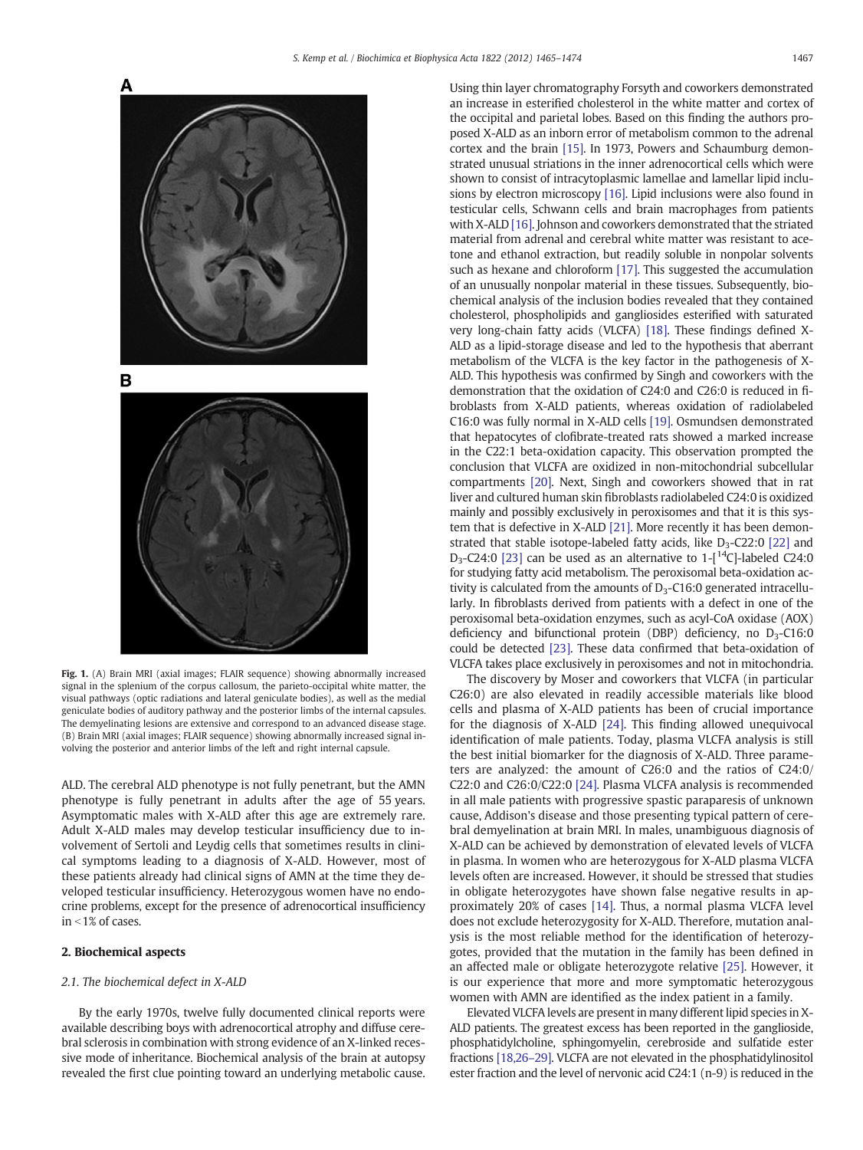<span id="page-2-0"></span>

Fig. 1. (A) Brain MRI (axial images; FLAIR sequence) showing abnormally increased signal in the splenium of the corpus callosum, the parieto-occipital white matter, the visual pathways (optic radiations and lateral geniculate bodies), as well as the medial geniculate bodies of auditory pathway and the posterior limbs of the internal capsules. The demyelinating lesions are extensive and correspond to an advanced disease stage. (B) Brain MRI (axial images; FLAIR sequence) showing abnormally increased signal involving the posterior and anterior limbs of the left and right internal capsule.

ALD. The cerebral ALD phenotype is not fully penetrant, but the AMN phenotype is fully penetrant in adults after the age of 55 years. Asymptomatic males with X-ALD after this age are extremely rare. Adult X-ALD males may develop testicular insufficiency due to involvement of Sertoli and Leydig cells that sometimes results in clinical symptoms leading to a diagnosis of X-ALD. However, most of these patients already had clinical signs of AMN at the time they developed testicular insufficiency. Heterozygous women have no endocrine problems, except for the presence of adrenocortical insufficiency in  $<$  1% of cases.

#### 2. Biochemical aspects

#### 2.1. The biochemical defect in X-ALD

By the early 1970s, twelve fully documented clinical reports were available describing boys with adrenocortical atrophy and diffuse cerebral sclerosis in combination with strong evidence of an X-linked recessive mode of inheritance. Biochemical analysis of the brain at autopsy revealed the first clue pointing toward an underlying metabolic cause. Using thin layer chromatography Forsyth and coworkers demonstrated an increase in esterified cholesterol in the white matter and cortex of the occipital and parietal lobes. Based on this finding the authors proposed X-ALD as an inborn error of metabolism common to the adrenal cortex and the brain [\[15\].](#page-7-0) In 1973, Powers and Schaumburg demonstrated unusual striations in the inner adrenocortical cells which were shown to consist of intracytoplasmic lamellae and lamellar lipid inclusions by electron microscopy [\[16\].](#page-7-0) Lipid inclusions were also found in testicular cells, Schwann cells and brain macrophages from patients with X-ALD [\[16\]](#page-7-0). Johnson and coworkers demonstrated that the striated material from adrenal and cerebral white matter was resistant to acetone and ethanol extraction, but readily soluble in nonpolar solvents such as hexane and chloroform [\[17\].](#page-7-0) This suggested the accumulation of an unusually nonpolar material in these tissues. Subsequently, biochemical analysis of the inclusion bodies revealed that they contained cholesterol, phospholipids and gangliosides esterified with saturated very long-chain fatty acids (VLCFA) [\[18\].](#page-7-0) These findings defined X-ALD as a lipid-storage disease and led to the hypothesis that aberrant metabolism of the VLCFA is the key factor in the pathogenesis of X-ALD. This hypothesis was confirmed by Singh and coworkers with the demonstration that the oxidation of C24:0 and C26:0 is reduced in fibroblasts from X-ALD patients, whereas oxidation of radiolabeled C16:0 was fully normal in X-ALD cells [\[19\].](#page-7-0) Osmundsen demonstrated that hepatocytes of clofibrate-treated rats showed a marked increase in the C22:1 beta-oxidation capacity. This observation prompted the conclusion that VLCFA are oxidized in non-mitochondrial subcellular compartments [\[20\].](#page-7-0) Next, Singh and coworkers showed that in rat liver and cultured human skin fibroblasts radiolabeled C24:0 is oxidized mainly and possibly exclusively in peroxisomes and that it is this system that is defective in X-ALD [\[21\]](#page-7-0). More recently it has been demonstrated that stable isotope-labeled fatty acids, like  $D_3$ -C22:0 [\[22\]](#page-7-0) and D<sub>3</sub>-C24:0 [\[23\]](#page-7-0) can be used as an alternative to  $1-[$ <sup>14</sup>C]-labeled C24:0 for studying fatty acid metabolism. The peroxisomal beta-oxidation activity is calculated from the amounts of  $D_3$ -C16:0 generated intracellularly. In fibroblasts derived from patients with a defect in one of the peroxisomal beta-oxidation enzymes, such as acyl-CoA oxidase (AOX) deficiency and bifunctional protein (DBP) deficiency, no  $D_3$ -C16:0 could be detected [\[23\].](#page-7-0) These data confirmed that beta-oxidation of VLCFA takes place exclusively in peroxisomes and not in mitochondria.

The discovery by Moser and coworkers that VLCFA (in particular C26:0) are also elevated in readily accessible materials like blood cells and plasma of X-ALD patients has been of crucial importance for the diagnosis of X-ALD [\[24\].](#page-7-0) This finding allowed unequivocal identification of male patients. Today, plasma VLCFA analysis is still the best initial biomarker for the diagnosis of X-ALD. Three parameters are analyzed: the amount of C26:0 and the ratios of C24:0/ C22:0 and C26:0/C22:0 [\[24\]](#page-7-0). Plasma VLCFA analysis is recommended in all male patients with progressive spastic paraparesis of unknown cause, Addison's disease and those presenting typical pattern of cerebral demyelination at brain MRI. In males, unambiguous diagnosis of X-ALD can be achieved by demonstration of elevated levels of VLCFA in plasma. In women who are heterozygous for X-ALD plasma VLCFA levels often are increased. However, it should be stressed that studies in obligate heterozygotes have shown false negative results in approximately 20% of cases [\[14\]](#page-7-0). Thus, a normal plasma VLCFA level does not exclude heterozygosity for X-ALD. Therefore, mutation analysis is the most reliable method for the identification of heterozygotes, provided that the mutation in the family has been defined in an affected male or obligate heterozygote relative [\[25\].](#page-7-0) However, it is our experience that more and more symptomatic heterozygous women with AMN are identified as the index patient in a family.

Elevated VLCFA levels are present in many different lipid species in X-ALD patients. The greatest excess has been reported in the ganglioside, phosphatidylcholine, sphingomyelin, cerebroside and sulfatide ester fractions [\[18,26](#page-7-0)–29]. VLCFA are not elevated in the phosphatidylinositol ester fraction and the level of nervonic acid C24:1 (n-9) is reduced in the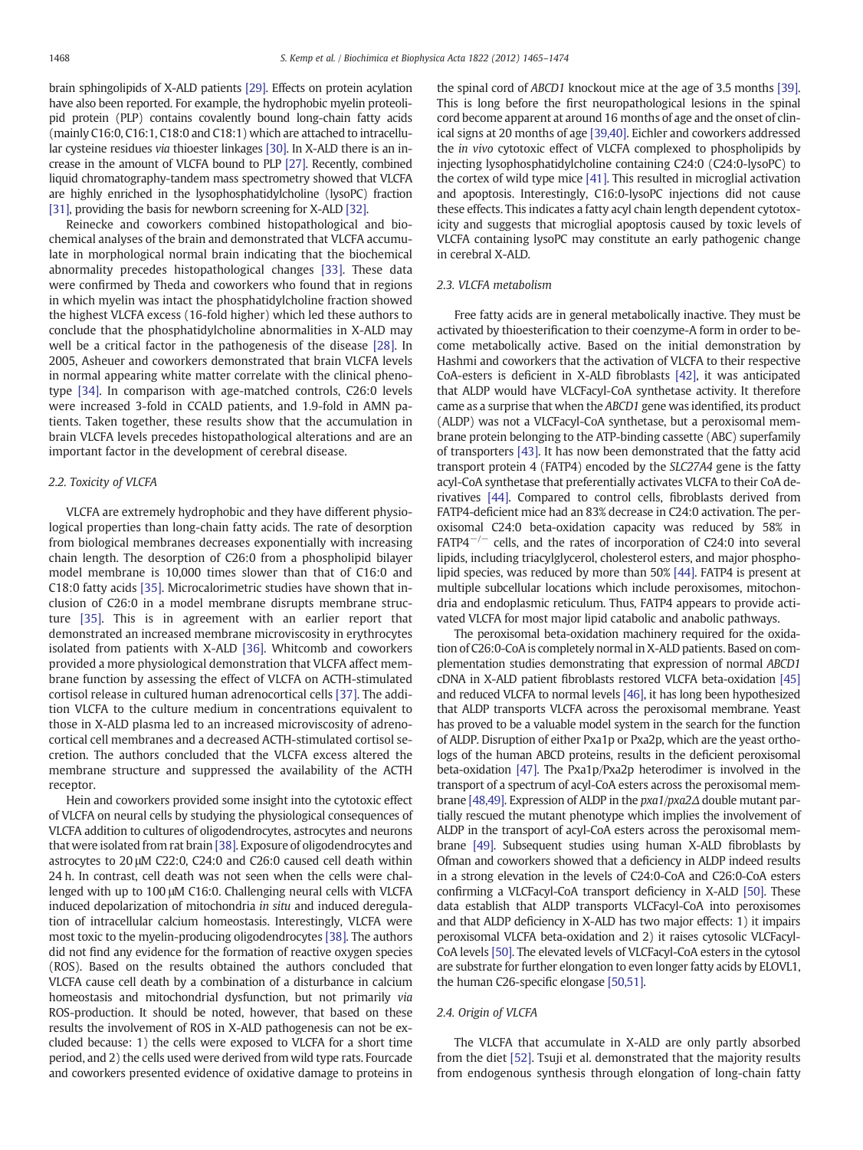brain sphingolipids of X-ALD patients [\[29\]](#page-7-0). Effects on protein acylation have also been reported. For example, the hydrophobic myelin proteolipid protein (PLP) contains covalently bound long-chain fatty acids (mainly C16:0, C16:1, C18:0 and C18:1) which are attached to intracellular cysteine residues via thioester linkages [\[30\].](#page-7-0) In X-ALD there is an increase in the amount of VLCFA bound to PLP [\[27\].](#page-7-0) Recently, combined liquid chromatography-tandem mass spectrometry showed that VLCFA are highly enriched in the lysophosphatidylcholine (lysoPC) fraction [\[31\],](#page-7-0) providing the basis for newborn screening for X-ALD [\[32\].](#page-7-0)

Reinecke and coworkers combined histopathological and biochemical analyses of the brain and demonstrated that VLCFA accumulate in morphological normal brain indicating that the biochemical abnormality precedes histopathological changes [\[33\]](#page-7-0). These data were confirmed by Theda and coworkers who found that in regions in which myelin was intact the phosphatidylcholine fraction showed the highest VLCFA excess (16-fold higher) which led these authors to conclude that the phosphatidylcholine abnormalities in X-ALD may well be a critical factor in the pathogenesis of the disease [\[28\]](#page-7-0). In 2005, Asheuer and coworkers demonstrated that brain VLCFA levels in normal appearing white matter correlate with the clinical phenotype [\[34\]](#page-7-0). In comparison with age-matched controls, C26:0 levels were increased 3-fold in CCALD patients, and 1.9-fold in AMN patients. Taken together, these results show that the accumulation in brain VLCFA levels precedes histopathological alterations and are an important factor in the development of cerebral disease.

#### 2.2. Toxicity of VLCFA

VLCFA are extremely hydrophobic and they have different physiological properties than long-chain fatty acids. The rate of desorption from biological membranes decreases exponentially with increasing chain length. The desorption of C26:0 from a phospholipid bilayer model membrane is 10,000 times slower than that of C16:0 and C18:0 fatty acids [\[35\].](#page-7-0) Microcalorimetric studies have shown that inclusion of C26:0 in a model membrane disrupts membrane structure [\[35\]](#page-7-0). This is in agreement with an earlier report that demonstrated an increased membrane microviscosity in erythrocytes isolated from patients with X-ALD [\[36\]](#page-7-0). Whitcomb and coworkers provided a more physiological demonstration that VLCFA affect membrane function by assessing the effect of VLCFA on ACTH-stimulated cortisol release in cultured human adrenocortical cells [\[37\].](#page-7-0) The addition VLCFA to the culture medium in concentrations equivalent to those in X-ALD plasma led to an increased microviscosity of adrenocortical cell membranes and a decreased ACTH-stimulated cortisol secretion. The authors concluded that the VLCFA excess altered the membrane structure and suppressed the availability of the ACTH receptor.

Hein and coworkers provided some insight into the cytotoxic effect of VLCFA on neural cells by studying the physiological consequences of VLCFA addition to cultures of oligodendrocytes, astrocytes and neurons that were isolated from rat brain [\[38\].](#page-7-0) Exposure of oligodendrocytes and astrocytes to 20 μM C22:0, C24:0 and C26:0 caused cell death within 24 h. In contrast, cell death was not seen when the cells were challenged with up to 100 μM C16:0. Challenging neural cells with VLCFA induced depolarization of mitochondria in situ and induced deregulation of intracellular calcium homeostasis. Interestingly, VLCFA were most toxic to the myelin-producing oligodendrocytes [\[38\].](#page-7-0) The authors did not find any evidence for the formation of reactive oxygen species (ROS). Based on the results obtained the authors concluded that VLCFA cause cell death by a combination of a disturbance in calcium homeostasis and mitochondrial dysfunction, but not primarily via ROS-production. It should be noted, however, that based on these results the involvement of ROS in X-ALD pathogenesis can not be excluded because: 1) the cells were exposed to VLCFA for a short time period, and 2) the cells used were derived from wild type rats. Fourcade and coworkers presented evidence of oxidative damage to proteins in the spinal cord of ABCD1 knockout mice at the age of 3.5 months [\[39\].](#page-7-0) This is long before the first neuropathological lesions in the spinal cord become apparent at around 16 months of age and the onset of clinical signs at 20 months of age [\[39,40\]](#page-7-0). Eichler and coworkers addressed the in vivo cytotoxic effect of VLCFA complexed to phospholipids by injecting lysophosphatidylcholine containing C24:0 (C24:0-lysoPC) to the cortex of wild type mice [\[41\].](#page-7-0) This resulted in microglial activation and apoptosis. Interestingly, C16:0-lysoPC injections did not cause these effects. This indicates a fatty acyl chain length dependent cytotoxicity and suggests that microglial apoptosis caused by toxic levels of VLCFA containing lysoPC may constitute an early pathogenic change in cerebral X-ALD.

### 2.3. VLCFA metabolism

Free fatty acids are in general metabolically inactive. They must be activated by thioesterification to their coenzyme-A form in order to become metabolically active. Based on the initial demonstration by Hashmi and coworkers that the activation of VLCFA to their respective CoA-esters is deficient in X-ALD fibroblasts [\[42\],](#page-7-0) it was anticipated that ALDP would have VLCFacyl-CoA synthetase activity. It therefore came as a surprise that when the ABCD1 gene was identified, its product (ALDP) was not a VLCFacyl-CoA synthetase, but a peroxisomal membrane protein belonging to the ATP-binding cassette (ABC) superfamily of transporters [\[43\].](#page-7-0) It has now been demonstrated that the fatty acid transport protein 4 (FATP4) encoded by the SLC27A4 gene is the fatty acyl-CoA synthetase that preferentially activates VLCFA to their CoA derivatives [\[44\].](#page-7-0) Compared to control cells, fibroblasts derived from FATP4-deficient mice had an 83% decrease in C24:0 activation. The peroxisomal C24:0 beta-oxidation capacity was reduced by 58% in  $FATP4^{-/-}$  cells, and the rates of incorporation of C24:0 into several lipids, including triacylglycerol, cholesterol esters, and major phospholipid species, was reduced by more than 50% [\[44\].](#page-7-0) FATP4 is present at multiple subcellular locations which include peroxisomes, mitochondria and endoplasmic reticulum. Thus, FATP4 appears to provide activated VLCFA for most major lipid catabolic and anabolic pathways.

The peroxisomal beta-oxidation machinery required for the oxidation of C26:0-CoA is completely normal in X-ALD patients. Based on complementation studies demonstrating that expression of normal ABCD1 cDNA in X-ALD patient fibroblasts restored VLCFA beta-oxidation [\[45\]](#page-7-0) and reduced VLCFA to normal levels [\[46\]](#page-7-0), it has long been hypothesized that ALDP transports VLCFA across the peroxisomal membrane. Yeast has proved to be a valuable model system in the search for the function of ALDP. Disruption of either Pxa1p or Pxa2p, which are the yeast orthologs of the human ABCD proteins, results in the deficient peroxisomal beta-oxidation [\[47\].](#page-7-0) The Pxa1p/Pxa2p heterodimer is involved in the transport of a spectrum of acyl-CoA esters across the peroxisomal membrane [\[48,49\]](#page-7-0). Expression of ALDP in the pxa1/pxa2Δ double mutant partially rescued the mutant phenotype which implies the involvement of ALDP in the transport of acyl-CoA esters across the peroxisomal membrane [\[49\].](#page-7-0) Subsequent studies using human X-ALD fibroblasts by Ofman and coworkers showed that a deficiency in ALDP indeed results in a strong elevation in the levels of C24:0-CoA and C26:0-CoA esters confirming a VLCFacyl-CoA transport deficiency in X-ALD [\[50\]](#page-7-0). These data establish that ALDP transports VLCFacyl-CoA into peroxisomes and that ALDP deficiency in X-ALD has two major effects: 1) it impairs peroxisomal VLCFA beta-oxidation and 2) it raises cytosolic VLCFacyl-CoA levels [\[50\]](#page-7-0). The elevated levels of VLCFacyl-CoA esters in the cytosol are substrate for further elongation to even longer fatty acids by ELOVL1, the human C26-specific elongase [\[50,51\]](#page-7-0).

#### 2.4. Origin of VLCFA

The VLCFA that accumulate in X-ALD are only partly absorbed from the diet [\[52\].](#page-8-0) Tsuji et al. demonstrated that the majority results from endogenous synthesis through elongation of long-chain fatty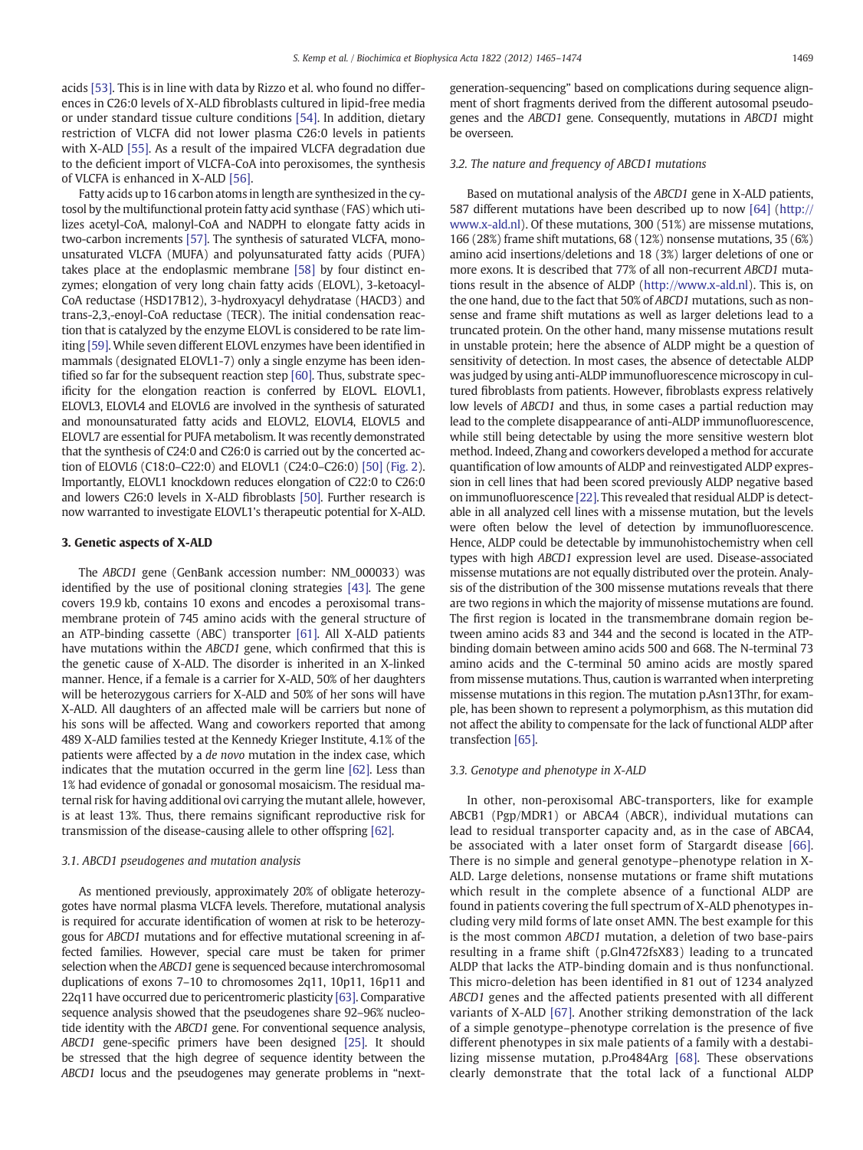acids [\[53\]](#page-8-0). This is in line with data by Rizzo et al. who found no differences in C26:0 levels of X-ALD fibroblasts cultured in lipid-free media or under standard tissue culture conditions [\[54\].](#page-8-0) In addition, dietary restriction of VLCFA did not lower plasma C26:0 levels in patients with X-ALD [\[55\].](#page-8-0) As a result of the impaired VLCFA degradation due to the deficient import of VLCFA-CoA into peroxisomes, the synthesis of VLCFA is enhanced in X-ALD [\[56\]](#page-8-0).

Fatty acids up to 16 carbon atoms in length are synthesized in the cytosol by the multifunctional protein fatty acid synthase (FAS) which utilizes acetyl-CoA, malonyl-CoA and NADPH to elongate fatty acids in two-carbon increments [\[57\].](#page-8-0) The synthesis of saturated VLCFA, monounsaturated VLCFA (MUFA) and polyunsaturated fatty acids (PUFA) takes place at the endoplasmic membrane [\[58\]](#page-8-0) by four distinct enzymes; elongation of very long chain fatty acids (ELOVL), 3-ketoacyl-CoA reductase (HSD17B12), 3-hydroxyacyl dehydratase (HACD3) and trans-2,3,-enoyl-CoA reductase (TECR). The initial condensation reaction that is catalyzed by the enzyme ELOVL is considered to be rate limiting [\[59\].](#page-8-0) While seven different ELOVL enzymes have been identified in mammals (designated ELOVL1-7) only a single enzyme has been identified so far for the subsequent reaction step [\[60\]](#page-8-0). Thus, substrate specificity for the elongation reaction is conferred by ELOVL. ELOVL1, ELOVL3, ELOVL4 and ELOVL6 are involved in the synthesis of saturated and monounsaturated fatty acids and ELOVL2, ELOVL4, ELOVL5 and ELOVL7 are essential for PUFA metabolism. It was recently demonstrated that the synthesis of C24:0 and C26:0 is carried out by the concerted action of ELOVL6 (C18:0–C22:0) and ELOVL1 (C24:0–C26:0) [\[50\]](#page-7-0) ([Fig. 2](#page-5-0)). Importantly, ELOVL1 knockdown reduces elongation of C22:0 to C26:0 and lowers C26:0 levels in X-ALD fibroblasts [\[50\]](#page-7-0). Further research is now warranted to investigate ELOVL1's therapeutic potential for X-ALD.

#### 3. Genetic aspects of X-ALD

The ABCD1 gene (GenBank accession number: NM\_000033) was identified by the use of positional cloning strategies [\[43\]](#page-7-0). The gene covers 19.9 kb, contains 10 exons and encodes a peroxisomal transmembrane protein of 745 amino acids with the general structure of an ATP-binding cassette (ABC) transporter [\[61\].](#page-8-0) All X-ALD patients have mutations within the ABCD1 gene, which confirmed that this is the genetic cause of X-ALD. The disorder is inherited in an X-linked manner. Hence, if a female is a carrier for X-ALD, 50% of her daughters will be heterozygous carriers for X-ALD and 50% of her sons will have X-ALD. All daughters of an affected male will be carriers but none of his sons will be affected. Wang and coworkers reported that among 489 X-ALD families tested at the Kennedy Krieger Institute, 4.1% of the patients were affected by a de novo mutation in the index case, which indicates that the mutation occurred in the germ line [\[62\]](#page-8-0). Less than 1% had evidence of gonadal or gonosomal mosaicism. The residual maternal risk for having additional ovi carrying the mutant allele, however, is at least 13%. Thus, there remains significant reproductive risk for transmission of the disease-causing allele to other offspring [\[62\]](#page-8-0).

#### 3.1. ABCD1 pseudogenes and mutation analysis

As mentioned previously, approximately 20% of obligate heterozygotes have normal plasma VLCFA levels. Therefore, mutational analysis is required for accurate identification of women at risk to be heterozygous for ABCD1 mutations and for effective mutational screening in affected families. However, special care must be taken for primer selection when the ABCD1 gene is sequenced because interchromosomal duplications of exons 7–10 to chromosomes 2q11, 10p11, 16p11 and 22q11 have occurred due to pericentromeric plasticity [\[63\].](#page-8-0) Comparative sequence analysis showed that the pseudogenes share 92–96% nucleotide identity with the ABCD1 gene. For conventional sequence analysis, ABCD1 gene-specific primers have been designed [\[25\].](#page-7-0) It should be stressed that the high degree of sequence identity between the ABCD1 locus and the pseudogenes may generate problems in "nextgeneration-sequencing" based on complications during sequence alignment of short fragments derived from the different autosomal pseudogenes and the ABCD1 gene. Consequently, mutations in ABCD1 might be overseen.

#### 3.2. The nature and frequency of ABCD1 mutations

Based on mutational analysis of the ABCD1 gene in X-ALD patients, 587 different mutations have been described up to now [\[64\]](#page-8-0) [\(http://](http://www.x-ald.nl) [www.x-ald.nl](http://www.x-ald.nl)). Of these mutations, 300 (51%) are missense mutations, 166 (28%) frame shift mutations, 68 (12%) nonsense mutations, 35 (6%) amino acid insertions/deletions and 18 (3%) larger deletions of one or more exons. It is described that 77% of all non-recurrent ABCD1 mutations result in the absence of ALDP ([http://www.x-ald.nl\)](http://www.x-ald.nl). This is, on the one hand, due to the fact that 50% of ABCD1 mutations, such as nonsense and frame shift mutations as well as larger deletions lead to a truncated protein. On the other hand, many missense mutations result in unstable protein; here the absence of ALDP might be a question of sensitivity of detection. In most cases, the absence of detectable ALDP was judged by using anti-ALDP immunofluorescence microscopy in cultured fibroblasts from patients. However, fibroblasts express relatively low levels of ABCD1 and thus, in some cases a partial reduction may lead to the complete disappearance of anti-ALDP immunofluorescence, while still being detectable by using the more sensitive western blot method. Indeed, Zhang and coworkers developed a method for accurate quantification of low amounts of ALDP and reinvestigated ALDP expression in cell lines that had been scored previously ALDP negative based on immunofluorescence [\[22\].](#page-7-0) This revealed that residual ALDP is detectable in all analyzed cell lines with a missense mutation, but the levels were often below the level of detection by immunofluorescence. Hence, ALDP could be detectable by immunohistochemistry when cell types with high ABCD1 expression level are used. Disease-associated missense mutations are not equally distributed over the protein. Analysis of the distribution of the 300 missense mutations reveals that there are two regions in which the majority of missense mutations are found. The first region is located in the transmembrane domain region between amino acids 83 and 344 and the second is located in the ATPbinding domain between amino acids 500 and 668. The N-terminal 73 amino acids and the C-terminal 50 amino acids are mostly spared from missense mutations. Thus, caution is warranted when interpreting missense mutations in this region. The mutation p.Asn13Thr, for example, has been shown to represent a polymorphism, as this mutation did not affect the ability to compensate for the lack of functional ALDP after transfection [\[65\]](#page-8-0).

#### 3.3. Genotype and phenotype in X-ALD

In other, non-peroxisomal ABC-transporters, like for example ABCB1 (Pgp/MDR1) or ABCA4 (ABCR), individual mutations can lead to residual transporter capacity and, as in the case of ABCA4, be associated with a later onset form of Stargardt disease [\[66\].](#page-8-0) There is no simple and general genotype–phenotype relation in X-ALD. Large deletions, nonsense mutations or frame shift mutations which result in the complete absence of a functional ALDP are found in patients covering the full spectrum of X-ALD phenotypes including very mild forms of late onset AMN. The best example for this is the most common ABCD1 mutation, a deletion of two base-pairs resulting in a frame shift (p.Gln472fsX83) leading to a truncated ALDP that lacks the ATP-binding domain and is thus nonfunctional. This micro-deletion has been identified in 81 out of 1234 analyzed ABCD1 genes and the affected patients presented with all different variants of X-ALD [\[67\].](#page-8-0) Another striking demonstration of the lack of a simple genotype–phenotype correlation is the presence of five different phenotypes in six male patients of a family with a destabilizing missense mutation, p.Pro484Arg [\[68\]](#page-8-0). These observations clearly demonstrate that the total lack of a functional ALDP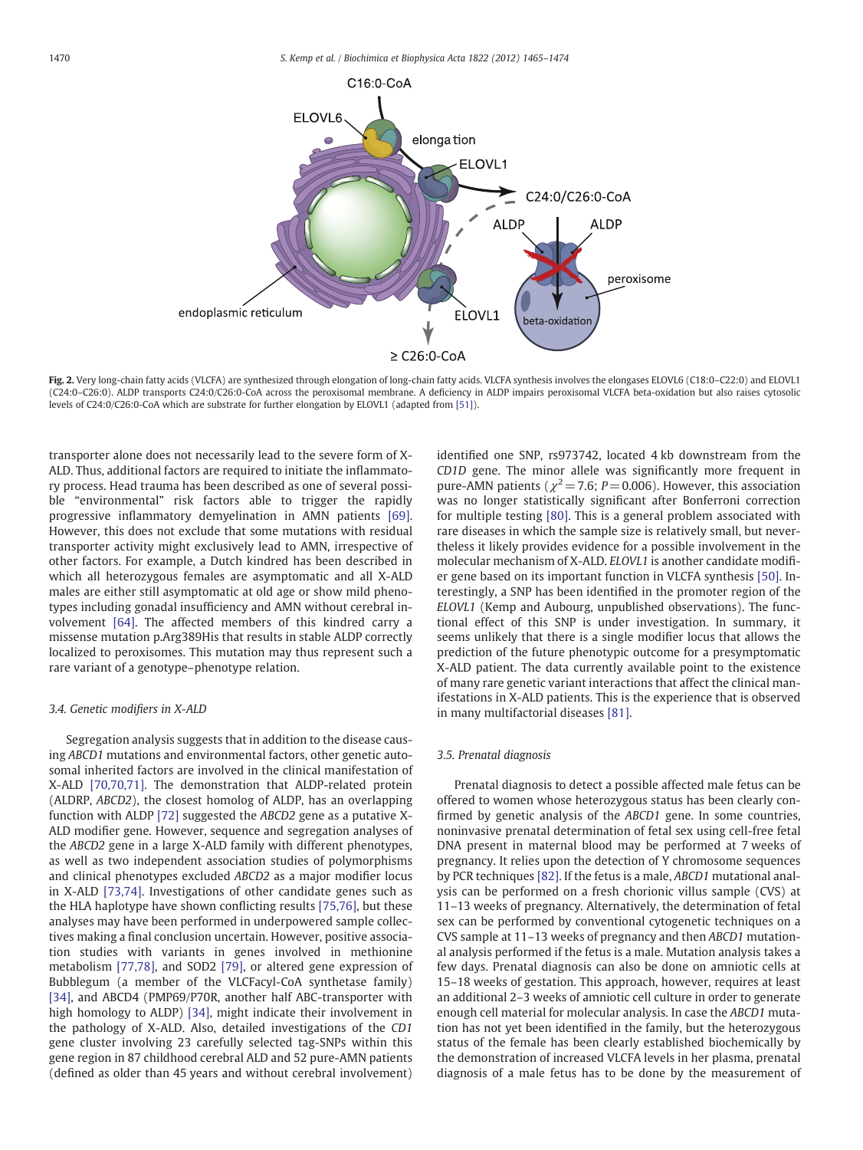<span id="page-5-0"></span>

Fig. 2. Very long-chain fatty acids (VLCFA) are synthesized through elongation of long-chain fatty acids. VLCFA synthesis involves the elongases ELOVL6 (C18:0–C22:0) and ELOVL1 (C24:0–C26:0). ALDP transports C24:0/C26:0-CoA across the peroxisomal membrane. A deficiency in ALDP impairs peroxisomal VLCFA beta-oxidation but also raises cytosolic levels of C24:0/C26:0-CoA which are substrate for further elongation by ELOVL1 (adapted from [\[51\]\)](#page-8-0).

transporter alone does not necessarily lead to the severe form of X-ALD. Thus, additional factors are required to initiate the inflammatory process. Head trauma has been described as one of several possible "environmental" risk factors able to trigger the rapidly progressive inflammatory demyelination in AMN patients [\[69\].](#page-8-0) However, this does not exclude that some mutations with residual transporter activity might exclusively lead to AMN, irrespective of other factors. For example, a Dutch kindred has been described in which all heterozygous females are asymptomatic and all X-ALD males are either still asymptomatic at old age or show mild phenotypes including gonadal insufficiency and AMN without cerebral involvement [\[64\]](#page-8-0). The affected members of this kindred carry a missense mutation p.Arg389His that results in stable ALDP correctly localized to peroxisomes. This mutation may thus represent such a rare variant of a genotype–phenotype relation.

#### 3.4. Genetic modifiers in X-ALD

Segregation analysis suggests that in addition to the disease causing ABCD1 mutations and environmental factors, other genetic autosomal inherited factors are involved in the clinical manifestation of X-ALD [\[70,70,71\].](#page-8-0) The demonstration that ALDP-related protein (ALDRP, ABCD2), the closest homolog of ALDP, has an overlapping function with ALDP [\[72\]](#page-8-0) suggested the ABCD2 gene as a putative X-ALD modifier gene. However, sequence and segregation analyses of the ABCD2 gene in a large X-ALD family with different phenotypes, as well as two independent association studies of polymorphisms and clinical phenotypes excluded ABCD2 as a major modifier locus in X-ALD [\[73,74\].](#page-8-0) Investigations of other candidate genes such as the HLA haplotype have shown conflicting results [\[75,76\]](#page-8-0), but these analyses may have been performed in underpowered sample collectives making a final conclusion uncertain. However, positive association studies with variants in genes involved in methionine metabolism [\[77,78\],](#page-8-0) and SOD2 [\[79\],](#page-8-0) or altered gene expression of Bubblegum (a member of the VLCFacyl-CoA synthetase family) [\[34\],](#page-7-0) and ABCD4 (PMP69/P70R, another half ABC-transporter with high homology to ALDP) [\[34\],](#page-7-0) might indicate their involvement in the pathology of X-ALD. Also, detailed investigations of the CD1 gene cluster involving 23 carefully selected tag-SNPs within this gene region in 87 childhood cerebral ALD and 52 pure-AMN patients (defined as older than 45 years and without cerebral involvement) identified one SNP, rs973742, located 4 kb downstream from the CD1D gene. The minor allele was significantly more frequent in pure-AMN patients ( $\chi^2$  = 7.6; P = 0.006). However, this association was no longer statistically significant after Bonferroni correction for multiple testing [\[80\]](#page-8-0). This is a general problem associated with rare diseases in which the sample size is relatively small, but nevertheless it likely provides evidence for a possible involvement in the molecular mechanism of X-ALD. ELOVL1 is another candidate modifier gene based on its important function in VLCFA synthesis [\[50\]](#page-7-0). Interestingly, a SNP has been identified in the promoter region of the ELOVL1 (Kemp and Aubourg, unpublished observations). The functional effect of this SNP is under investigation. In summary, it seems unlikely that there is a single modifier locus that allows the prediction of the future phenotypic outcome for a presymptomatic X-ALD patient. The data currently available point to the existence of many rare genetic variant interactions that affect the clinical manifestations in X-ALD patients. This is the experience that is observed in many multifactorial diseases [\[81\]](#page-8-0).

#### 3.5. Prenatal diagnosis

Prenatal diagnosis to detect a possible affected male fetus can be offered to women whose heterozygous status has been clearly confirmed by genetic analysis of the ABCD1 gene. In some countries, noninvasive prenatal determination of fetal sex using cell-free fetal DNA present in maternal blood may be performed at 7 weeks of pregnancy. It relies upon the detection of Y chromosome sequences by PCR techniques [\[82\].](#page-8-0) If the fetus is a male, ABCD1 mutational analysis can be performed on a fresh chorionic villus sample (CVS) at 11–13 weeks of pregnancy. Alternatively, the determination of fetal sex can be performed by conventional cytogenetic techniques on a CVS sample at 11–13 weeks of pregnancy and then ABCD1 mutational analysis performed if the fetus is a male. Mutation analysis takes a few days. Prenatal diagnosis can also be done on amniotic cells at 15–18 weeks of gestation. This approach, however, requires at least an additional 2–3 weeks of amniotic cell culture in order to generate enough cell material for molecular analysis. In case the ABCD1 mutation has not yet been identified in the family, but the heterozygous status of the female has been clearly established biochemically by the demonstration of increased VLCFA levels in her plasma, prenatal diagnosis of a male fetus has to be done by the measurement of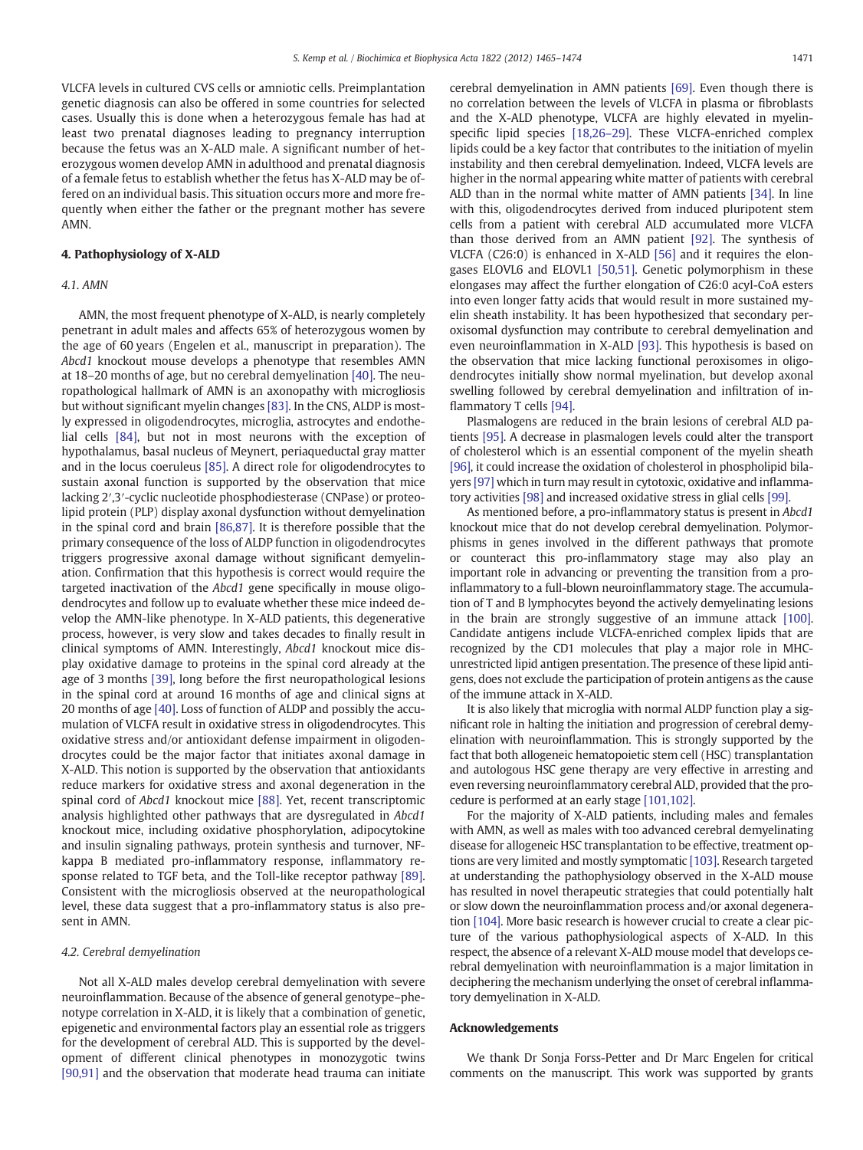VLCFA levels in cultured CVS cells or amniotic cells. Preimplantation genetic diagnosis can also be offered in some countries for selected cases. Usually this is done when a heterozygous female has had at least two prenatal diagnoses leading to pregnancy interruption because the fetus was an X-ALD male. A significant number of heterozygous women develop AMN in adulthood and prenatal diagnosis of a female fetus to establish whether the fetus has X-ALD may be offered on an individual basis. This situation occurs more and more frequently when either the father or the pregnant mother has severe AMN.

#### 4. Pathophysiology of X-ALD

### 4.1. AMN

AMN, the most frequent phenotype of X-ALD, is nearly completely penetrant in adult males and affects 65% of heterozygous women by the age of 60 years (Engelen et al., manuscript in preparation). The Abcd1 knockout mouse develops a phenotype that resembles AMN at 18–20 months of age, but no cerebral demyelination [\[40\]](#page-7-0). The neuropathological hallmark of AMN is an axonopathy with microgliosis but without significant myelin changes [\[83\]](#page-8-0). In the CNS, ALDP is mostly expressed in oligodendrocytes, microglia, astrocytes and endothelial cells [\[84\],](#page-8-0) but not in most neurons with the exception of hypothalamus, basal nucleus of Meynert, periaqueductal gray matter and in the locus coeruleus [\[85\]](#page-8-0). A direct role for oligodendrocytes to sustain axonal function is supported by the observation that mice lacking 2′,3′-cyclic nucleotide phosphodiesterase (CNPase) or proteolipid protein (PLP) display axonal dysfunction without demyelination in the spinal cord and brain [\[86,87\]](#page-8-0). It is therefore possible that the primary consequence of the loss of ALDP function in oligodendrocytes triggers progressive axonal damage without significant demyelination. Confirmation that this hypothesis is correct would require the targeted inactivation of the Abcd1 gene specifically in mouse oligodendrocytes and follow up to evaluate whether these mice indeed develop the AMN-like phenotype. In X-ALD patients, this degenerative process, however, is very slow and takes decades to finally result in clinical symptoms of AMN. Interestingly, Abcd1 knockout mice display oxidative damage to proteins in the spinal cord already at the age of 3 months [\[39\]](#page-7-0), long before the first neuropathological lesions in the spinal cord at around 16 months of age and clinical signs at 20 months of age [\[40\]](#page-7-0). Loss of function of ALDP and possibly the accumulation of VLCFA result in oxidative stress in oligodendrocytes. This oxidative stress and/or antioxidant defense impairment in oligodendrocytes could be the major factor that initiates axonal damage in X-ALD. This notion is supported by the observation that antioxidants reduce markers for oxidative stress and axonal degeneration in the spinal cord of Abcd1 knockout mice [\[88\].](#page-8-0) Yet, recent transcriptomic analysis highlighted other pathways that are dysregulated in Abcd1 knockout mice, including oxidative phosphorylation, adipocytokine and insulin signaling pathways, protein synthesis and turnover, NFkappa B mediated pro-inflammatory response, inflammatory response related to TGF beta, and the Toll-like receptor pathway [\[89\].](#page-8-0) Consistent with the microgliosis observed at the neuropathological level, these data suggest that a pro-inflammatory status is also present in AMN.

#### 4.2. Cerebral demyelination

Not all X-ALD males develop cerebral demyelination with severe neuroinflammation. Because of the absence of general genotype–phenotype correlation in X-ALD, it is likely that a combination of genetic, epigenetic and environmental factors play an essential role as triggers for the development of cerebral ALD. This is supported by the development of different clinical phenotypes in monozygotic twins [\[90,91\]](#page-8-0) and the observation that moderate head trauma can initiate cerebral demyelination in AMN patients [\[69\]](#page-8-0). Even though there is no correlation between the levels of VLCFA in plasma or fibroblasts and the X-ALD phenotype, VLCFA are highly elevated in myelinspecific lipid species [\[18,26](#page-7-0)–29]. These VLCFA-enriched complex lipids could be a key factor that contributes to the initiation of myelin instability and then cerebral demyelination. Indeed, VLCFA levels are higher in the normal appearing white matter of patients with cerebral ALD than in the normal white matter of AMN patients [\[34\].](#page-7-0) In line with this, oligodendrocytes derived from induced pluripotent stem cells from a patient with cerebral ALD accumulated more VLCFA than those derived from an AMN patient [\[92\].](#page-8-0) The synthesis of VLCFA (C26:0) is enhanced in X-ALD [\[56\]](#page-8-0) and it requires the elongases ELOVL6 and ELOVL1 [\[50,51\]](#page-7-0). Genetic polymorphism in these elongases may affect the further elongation of C26:0 acyl-CoA esters into even longer fatty acids that would result in more sustained myelin sheath instability. It has been hypothesized that secondary peroxisomal dysfunction may contribute to cerebral demyelination and even neuroinflammation in X-ALD [\[93\]](#page-8-0). This hypothesis is based on the observation that mice lacking functional peroxisomes in oligodendrocytes initially show normal myelination, but develop axonal swelling followed by cerebral demyelination and infiltration of inflammatory T cells [\[94\]](#page-8-0).

Plasmalogens are reduced in the brain lesions of cerebral ALD patients [\[95\].](#page-8-0) A decrease in plasmalogen levels could alter the transport of cholesterol which is an essential component of the myelin sheath [\[96\],](#page-8-0) it could increase the oxidation of cholesterol in phospholipid bilayers [\[97\]](#page-8-0) which in turn may result in cytotoxic, oxidative and inflammatory activities [\[98\]](#page-8-0) and increased oxidative stress in glial cells [\[99\]](#page-8-0).

As mentioned before, a pro-inflammatory status is present in Abcd1 knockout mice that do not develop cerebral demyelination. Polymorphisms in genes involved in the different pathways that promote or counteract this pro-inflammatory stage may also play an important role in advancing or preventing the transition from a proinflammatory to a full-blown neuroinflammatory stage. The accumulation of T and B lymphocytes beyond the actively demyelinating lesions in the brain are strongly suggestive of an immune attack [\[100\].](#page-8-0) Candidate antigens include VLCFA-enriched complex lipids that are recognized by the CD1 molecules that play a major role in MHCunrestricted lipid antigen presentation. The presence of these lipid antigens, does not exclude the participation of protein antigens as the cause of the immune attack in X-ALD.

It is also likely that microglia with normal ALDP function play a significant role in halting the initiation and progression of cerebral demyelination with neuroinflammation. This is strongly supported by the fact that both allogeneic hematopoietic stem cell (HSC) transplantation and autologous HSC gene therapy are very effective in arresting and even reversing neuroinflammatory cerebral ALD, provided that the procedure is performed at an early stage [\[101,102\]](#page-8-0).

For the majority of X-ALD patients, including males and females with AMN, as well as males with too advanced cerebral demyelinating disease for allogeneic HSC transplantation to be effective, treatment options are very limited and mostly symptomatic [\[103\].](#page-9-0) Research targeted at understanding the pathophysiology observed in the X-ALD mouse has resulted in novel therapeutic strategies that could potentially halt or slow down the neuroinflammation process and/or axonal degeneration [\[104\].](#page-9-0) More basic research is however crucial to create a clear picture of the various pathophysiological aspects of X-ALD. In this respect, the absence of a relevant X-ALD mouse model that develops cerebral demyelination with neuroinflammation is a major limitation in deciphering the mechanism underlying the onset of cerebral inflammatory demyelination in X-ALD.

#### Acknowledgements

We thank Dr Sonja Forss-Petter and Dr Marc Engelen for critical comments on the manuscript. This work was supported by grants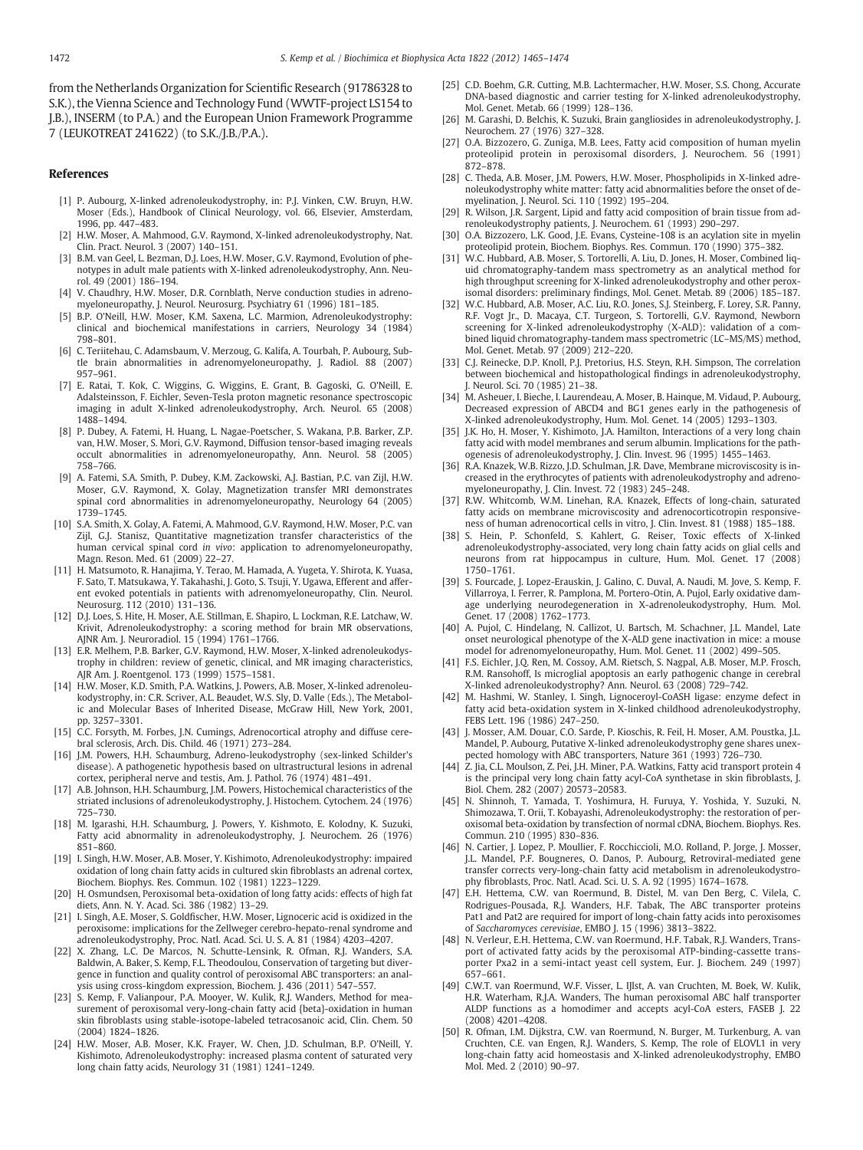<span id="page-7-0"></span>from the Netherlands Organization for Scientific Research (91786328 to S.K.), the Vienna Science and Technology Fund (WWTF-project LS154 to J.B.), INSERM (to P.A.) and the European Union Framework Programme 7 (LEUKOTREAT 241622) (to S.K./J.B./P.A.).

#### References

- [1] P. Aubourg, X-linked adrenoleukodystrophy, in: P.J. Vinken, C.W. Bruyn, H.W. Moser (Eds.), Handbook of Clinical Neurology, vol. 66, Elsevier, Amsterdam, 1996, pp. 447–483.
- [2] H.W. Moser, A. Mahmood, G.V. Raymond, X-linked adrenoleukodystrophy, Nat. Clin. Pract. Neurol. 3 (2007) 140–151.
- [3] B.M. van Geel, L. Bezman, D.J. Loes, H.W. Moser, G.V. Raymond, Evolution of phenotypes in adult male patients with X-linked adrenoleukodystrophy, Ann. Neurol. 49 (2001) 186–194.
- [4] V. Chaudhry, H.W. Moser, D.R. Cornblath, Nerve conduction studies in adrenomyeloneuropathy, J. Neurol. Neurosurg. Psychiatry 61 (1996) 181–185.
- [5] B.P. O'Neill, H.W. Moser, K.M. Saxena, L.C. Marmion, Adrenoleukodystrophy: clinical and biochemical manifestations in carriers, Neurology 34 (1984) 798–801.
- [6] C. Teriitehau, C. Adamsbaum, V. Merzoug, G. Kalifa, A. Tourbah, P. Aubourg, Subtle brain abnormalities in adrenomyeloneuropathy, J. Radiol. 88 (2007) 957–961.
- [7] E. Ratai, T. Kok, C. Wiggins, G. Wiggins, E. Grant, B. Gagoski, G. O'Neill, E. Adalsteinsson, F. Eichler, Seven-Tesla proton magnetic resonance spectroscopic imaging in adult X-linked adrenoleukodystrophy, Arch. Neurol. 65 (2008) 1488–1494.
- [8] P. Dubey, A. Fatemi, H. Huang, L. Nagae-Poetscher, S. Wakana, P.B. Barker, Z.P. van, H.W. Moser, S. Mori, G.V. Raymond, Diffusion tensor-based imaging reveals occult abnormalities in adrenomyeloneuropathy, Ann. Neurol. 58 (2005) 758–766.
- [9] A. Fatemi, S.A. Smith, P. Dubey, K.M. Zackowski, A.J. Bastian, P.C. van Zijl, H.W. Moser, G.V. Raymond, X. Golay, Magnetization transfer MRI demonstrates spinal cord abnormalities in adrenomyeloneuropathy, Neurology 64 (2005) 1739–1745.
- [10] S.A. Smith, X. Golay, A. Fatemi, A. Mahmood, G.V. Raymond, H.W. Moser, P.C. van Zijl, G.J. Stanisz, Quantitative magnetization transfer characteristics of the human cervical spinal cord in vivo: application to adrenomyeloneuropathy, Magn. Reson. Med. 61 (2009) 22–27.
- [11] H. Matsumoto, R. Hanajima, Y. Terao, M. Hamada, A. Yugeta, Y. Shirota, K. Yuasa, F. Sato, T. Matsukawa, Y. Takahashi, J. Goto, S. Tsuji, Y. Ugawa, Efferent and afferent evoked potentials in patients with adrenomyeloneuropathy, Clin. Neurol. Neurosurg. 112 (2010) 131–136.
- [12] D.J. Loes, S. Hite, H. Moser, A.E. Stillman, E. Shapiro, L. Lockman, R.E. Latchaw, W. Krivit, Adrenoleukodystrophy: a scoring method for brain MR observations, AJNR Am. J. Neuroradiol. 15 (1994) 1761–1766.
- [13] E.R. Melhem, P.B. Barker, G.V. Raymond, H.W. Moser, X-linked adrenoleukodystrophy in children: review of genetic, clinical, and MR imaging characteristics, AJR Am. J. Roentgenol. 173 (1999) 1575–1581.
- [14] H.W. Moser, K.D. Smith, P.A. Watkins, J. Powers, A.B. Moser, X-linked adrenoleukodystrophy, in: C.R. Scriver, A.L. Beaudet, W.S. Sly, D. Valle (Eds.), The Metabolic and Molecular Bases of Inherited Disease, McGraw Hill, New York, 2001, pp. 3257–3301.
- [15] C.C. Forsyth, M. Forbes, J.N. Cumings, Adrenocortical atrophy and diffuse cerebral sclerosis, Arch. Dis. Child. 46 (1971) 273–284.
- [16] J.M. Powers, H.H. Schaumburg, Adreno-leukodystrophy (sex-linked Schilder's disease). A pathogenetic hypothesis based on ultrastructural lesions in adrenal cortex, peripheral nerve and testis, Am. J. Pathol. 76 (1974) 481–491.
- [17] A.B. Johnson, H.H. Schaumburg, J.M. Powers, Histochemical characteristics of the striated inclusions of adrenoleukodystrophy, J. Histochem. Cytochem. 24 (1976) 725–730.
- [18] M. Igarashi, H.H. Schaumburg, J. Powers, Y. Kishmoto, E. Kolodny, K. Suzuki, Fatty acid abnormality in adrenoleukodystrophy, J. Neurochem. 26 (1976) 851–860.
- [19] I. Singh, H.W. Moser, A.B. Moser, Y. Kishimoto, Adrenoleukodystrophy: impaired oxidation of long chain fatty acids in cultured skin fibroblasts an adrenal cortex, Biochem. Biophys. Res. Commun. 102 (1981) 1223–1229.
- [20] H. Osmundsen, Peroxisomal beta-oxidation of long fatty acids: effects of high fat diets, Ann. N. Y. Acad. Sci. 386 (1982) 13–29.
- [21] I. Singh, A.E. Moser, S. Goldfischer, H.W. Moser, Lignoceric acid is oxidized in the peroxisome: implications for the Zellweger cerebro-hepato-renal syndrome and adrenoleukodystrophy, Proc. Natl. Acad. Sci. U. S. A. 81 (1984) 4203–4207.
- [22] X. Zhang, L.C. De Marcos, N. Schutte-Lensink, R. Ofman, R.J. Wanders, S.A. Baldwin, A. Baker, S. Kemp, F.L. Theodoulou, Conservation of targeting but divergence in function and quality control of peroxisomal ABC transporters: an analysis using cross-kingdom expression, Biochem. J. 436 (2011) 547–557.
- [23] S. Kemp, F. Valianpour, P.A. Mooyer, W. Kulik, R.J. Wanders, Method for measurement of peroxisomal very-long-chain fatty acid {beta}-oxidation in human skin fibroblasts using stable-isotope-labeled tetracosanoic acid, Clin. Chem. 50 (2004) 1824–1826.
- [24] H.W. Moser, A.B. Moser, K.K. Frayer, W. Chen, J.D. Schulman, B.P. O'Neill, Y. Kishimoto, Adrenoleukodystrophy: increased plasma content of saturated very long chain fatty acids, Neurology 31 (1981) 1241–1249.
- [25] C.D. Boehm, G.R. Cutting, M.B. Lachtermacher, H.W. Moser, S.S. Chong, Accurate DNA-based diagnostic and carrier testing for X-linked adrenoleukodystrophy, Mol. Genet. Metab. 66 (1999) 128–136.
- [26] M. Garashi, D. Belchis, K. Suzuki, Brain gangliosides in adrenoleukodystrophy, J. Neurochem. 27 (1976) 327–328.
- [27] O.A. Bizzozero, G. Zuniga, M.B. Lees, Fatty acid composition of human myelin proteolipid protein in peroxisomal disorders, J. Neurochem. 56 (1991) 872–878.
- [28] C. Theda, A.B. Moser, J.M. Powers, H.W. Moser, Phospholipids in X-linked adrenoleukodystrophy white matter: fatty acid abnormalities before the onset of demyelination, J. Neurol. Sci. 110 (1992) 195–204.
- [29] R. Wilson, J.R. Sargent, Lipid and fatty acid composition of brain tissue from adrenoleukodystrophy patients, J. Neurochem. 61 (1993) 290–297.
- [30] O.A. Bizzozero, L.K. Good, J.E. Evans, Cysteine-108 is an acylation site in myelin proteolipid protein, Biochem. Biophys. Res. Commun. 170 (1990) 375–382.
- [31] W.C. Hubbard, A.B. Moser, S. Tortorelli, A. Liu, D. Jones, H. Moser, Combined liquid chromatography-tandem mass spectrometry as an analytical method for high throughput screening for X-linked adrenoleukodystrophy and other peroxisomal disorders: preliminary findings, Mol. Genet. Metab. 89 (2006) 185–187.
- [32] W.C. Hubbard, A.B. Moser, A.C. Liu, R.O. Jones, S.J. Steinberg, F. Lorey, S.R. Panny, R.F. Vogt Jr., D. Macaya, C.T. Turgeon, S. Tortorelli, G.V. Raymond, Newborn screening for X-linked adrenoleukodystrophy (X-ALD): validation of a combined liquid chromatography-tandem mass spectrometric (LC–MS/MS) method, Mol. Genet. Metab. 97 (2009) 212–220.
- [33] C.J. Reinecke, D.P. Knoll, P.J. Pretorius, H.S. Steyn, R.H. Simpson, The correlation between biochemical and histopathological findings in adrenoleukodystrophy, J. Neurol. Sci. 70 (1985) 21–38.
- [34] M. Asheuer, I. Bieche, I. Laurendeau, A. Moser, B. Hainque, M. Vidaud, P. Aubourg, Decreased expression of ABCD4 and BG1 genes early in the pathogenesis of X-linked adrenoleukodystrophy, Hum. Mol. Genet. 14 (2005) 1293–1303.
- [35] J.K. Ho, H. Moser, Y. Kishimoto, J.A. Hamilton, Interactions of a very long chain fatty acid with model membranes and serum albumin. Implications for the pathogenesis of adrenoleukodystrophy, J. Clin. Invest. 96 (1995) 1455–1463.
- [36] R.A. Knazek, W.B. Rizzo, J.D. Schulman, J.R. Dave, Membrane microviscosity is increased in the erythrocytes of patients with adrenoleukodystrophy and adrenomyeloneuropathy, J. Clin. Invest. 72 (1983) 245–248.
- [37] R.W. Whitcomb, W.M. Linehan, R.A. Knazek, Effects of long-chain, saturated fatty acids on membrane microviscosity and adrenocorticotropin responsiveness of human adrenocortical cells in vitro, J. Clin. Invest. 81 (1988) 185–188.
- [38] S. Hein, P. Schonfeld, S. Kahlert, G. Reiser, Toxic effects of X-linked adrenoleukodystrophy-associated, very long chain fatty acids on glial cells and neurons from rat hippocampus in culture, Hum. Mol. Genet. 17 (2008) 1750–1761.
- [39] S. Fourcade, J. Lopez-Erauskin, J. Galino, C. Duval, A. Naudi, M. Jove, S. Kemp, F. Villarroya, I. Ferrer, R. Pamplona, M. Portero-Otin, A. Pujol, Early oxidative damage underlying neurodegeneration in X-adrenoleukodystrophy, Hum. Mol. Genet. 17 (2008) 1762–1773.
- [40] A. Pujol, C. Hindelang, N. Callizot, U. Bartsch, M. Schachner, J.L. Mandel, Late onset neurological phenotype of the X-ALD gene inactivation in mice: a mouse model for adrenomyeloneuropathy, Hum. Mol. Genet. 11 (2002) 499–505.
- [41] F.S. Eichler, J.Q. Ren, M. Cossoy, A.M. Rietsch, S. Nagpal, A.B. Moser, M.P. Frosch, R.M. Ransohoff, Is microglial apoptosis an early pathogenic change in cerebral X-linked adrenoleukodystrophy? Ann. Neurol. 63 (2008) 729–742.
- [42] M. Hashmi, W. Stanley, I. Singh, Lignoceroyl-CoASH ligase: enzyme defect in fatty acid beta-oxidation system in X-linked childhood adrenoleukodystrophy, FEBS Lett. 196 (1986) 247–250.
- [43] J. Mosser, A.M. Douar, C.O. Sarde, P. Kioschis, R. Feil, H. Moser, A.M. Poustka, J.L. Mandel, P. Aubourg, Putative X-linked adrenoleukodystrophy gene shares unexpected homology with ABC transporters, Nature 361 (1993) 726-730.
- [44] Z. Jia, C.L. Moulson, Z. Pei, J.H. Miner, P.A. Watkins, Fatty acid transport protein 4 is the principal very long chain fatty acyl-CoA synthetase in skin fibroblasts, J. Biol. Chem. 282 (2007) 20573–20583.
- [45] N. Shinnoh, T. Yamada, T. Yoshimura, H. Furuya, Y. Yoshida, Y. Suzuki, N. Shimozawa, T. Orii, T. Kobayashi, Adrenoleukodystrophy: the restoration of peroxisomal beta-oxidation by transfection of normal cDNA, Biochem. Biophys. Res. Commun. 210 (1995) 830–836.
- [46] N. Cartier, J. Lopez, P. Moullier, F. Rocchiccioli, M.O. Rolland, P. Jorge, J. Mosser, J.L. Mandel, P.F. Bougneres, O. Danos, P. Aubourg, Retroviral-mediated gene transfer corrects very-long-chain fatty acid metabolism in adrenoleukodystrophy fibroblasts, Proc. Natl. Acad. Sci. U. S. A. 92 (1995) 1674–1678.
- [47] E.H. Hettema, C.W. van Roermund, B. Distel, M. van Den Berg, C. Vilela, C. Rodrigues-Pousada, R.J. Wanders, H.F. Tabak, The ABC transporter proteins Pat1 and Pat2 are required for import of long-chain fatty acids into peroxisomes of Saccharomyces cerevisiae, EMBO J. 15 (1996) 3813–3822.
- [48] N. Verleur, E.H. Hettema, C.W. van Roermund, H.F. Tabak, R.J. Wanders, Transport of activated fatty acids by the peroxisomal ATP-binding-cassette transporter Pxa2 in a semi-intact yeast cell system, Eur. J. Biochem. 249 (1997) 657–661.
- [49] C.W.T. van Roermund, W.F. Visser, L. IJlst, A. van Cruchten, M. Boek, W. Kulik, H.R. Waterham, R.J.A. Wanders, The human peroxisomal ABC half transporter ALDP functions as a homodimer and accepts acyl-CoA esters, FASEB J. 22 (2008) 4201–4208.
- [50] R. Ofman, I.M. Dijkstra, C.W. van Roermund, N. Burger, M. Turkenburg, A. van Cruchten, C.E. van Engen, R.J. Wanders, S. Kemp, The role of ELOVL1 in very long-chain fatty acid homeostasis and X-linked adrenoleukodystrophy, EMBO Mol. Med. 2 (2010) 90–97.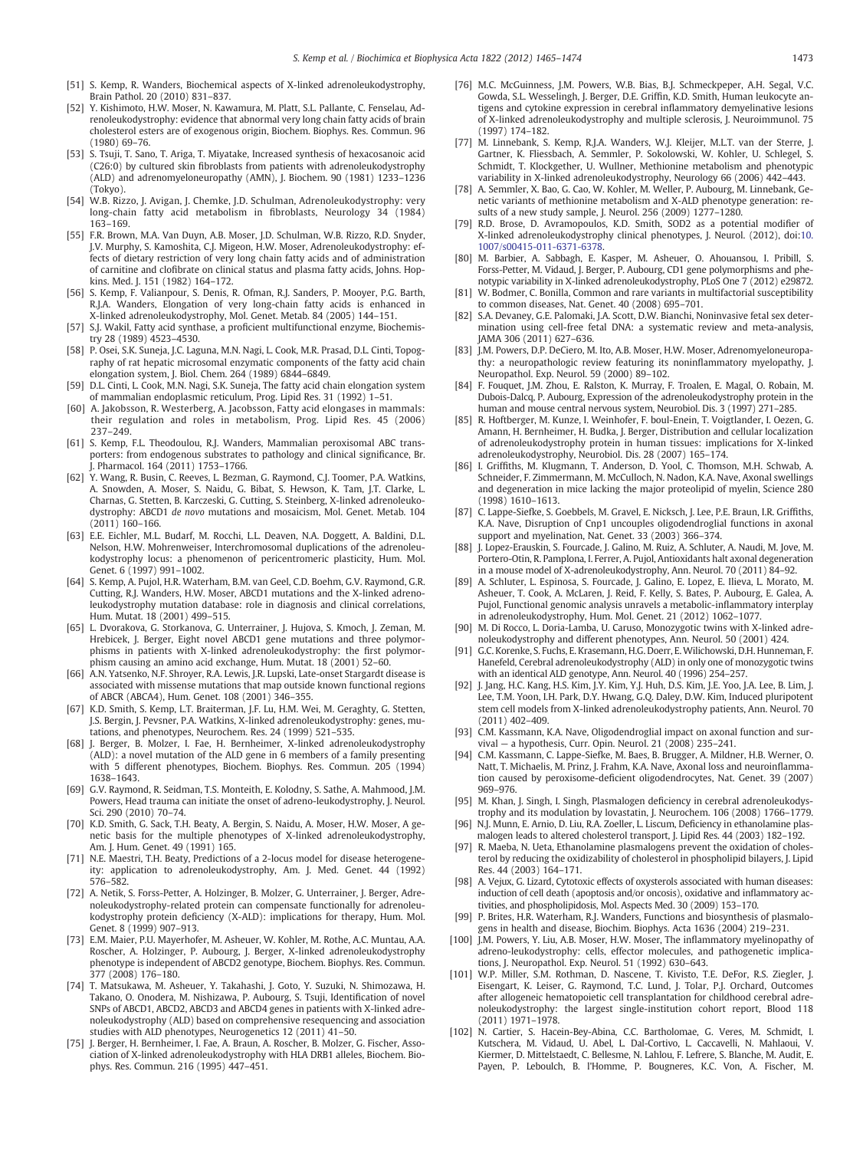- <span id="page-8-0"></span>[51] S. Kemp, R. Wanders, Biochemical aspects of X-linked adrenoleukodystrophy, Brain Pathol. 20 (2010) 831–837.
- [52] Y. Kishimoto, H.W. Moser, N. Kawamura, M. Platt, S.L. Pallante, C. Fenselau, Adrenoleukodystrophy: evidence that abnormal very long chain fatty acids of brain cholesterol esters are of exogenous origin, Biochem. Biophys. Res. Commun. 96 (1980) 69–76.
- [53] S. Tsuji, T. Sano, T. Ariga, T. Miyatake, Increased synthesis of hexacosanoic acid (C26:0) by cultured skin fibroblasts from patients with adrenoleukodystrophy (ALD) and adrenomyeloneuropathy (AMN), J. Biochem. 90 (1981) 1233–1236 (Tokyo).
- [54] W.B. Rizzo, J. Avigan, J. Chemke, J.D. Schulman, Adrenoleukodystrophy: very long-chain fatty acid metabolism in fibroblasts, Neurology 34 (1984) 163–169.
- [55] F.R. Brown, M.A. Van Duyn, A.B. Moser, J.D. Schulman, W.B. Rizzo, R.D. Snyder, J.V. Murphy, S. Kamoshita, C.J. Migeon, H.W. Moser, Adrenoleukodystrophy: effects of dietary restriction of very long chain fatty acids and of administration of carnitine and clofibrate on clinical status and plasma fatty acids, Johns. Hopkins. Med. J. 151 (1982) 164–172.
- [56] S. Kemp, F. Valianpour, S. Denis, R. Ofman, R.J. Sanders, P. Mooyer, P.G. Barth, R.J.A. Wanders, Elongation of very long-chain fatty acids is enhanced in X-linked adrenoleukodystrophy, Mol. Genet. Metab. 84 (2005) 144–151.
- [57] S.J. Wakil, Fatty acid synthase, a proficient multifunctional enzyme, Biochemistry 28 (1989) 4523–4530.
- [58] P. Osei, S.K. Suneja, J.C. Laguna, M.N. Nagi, L. Cook, M.R. Prasad, D.L. Cinti, Topography of rat hepatic microsomal enzymatic components of the fatty acid chain elongation system, J. Biol. Chem. 264 (1989) 6844–6849.
- [59] D.L. Cinti, L. Cook, M.N. Nagi, S.K. Suneja, The fatty acid chain elongation system of mammalian endoplasmic reticulum, Prog. Lipid Res. 31 (1992) 1–51.
- [60] A. Jakobsson, R. Westerberg, A. Jacobsson, Fatty acid elongases in mammals: their regulation and roles in metabolism, Prog. Lipid Res. 45 (2006) 237–249.
- [61] S. Kemp, F.L. Theodoulou, R.J. Wanders, Mammalian peroxisomal ABC transporters: from endogenous substrates to pathology and clinical significance, Br. Pharmacol. 164 (2011) 1753-1766.
- [62] Y. Wang, R. Busin, C. Reeves, L. Bezman, G. Raymond, C.J. Toomer, P.A. Watkins, A. Snowden, A. Moser, S. Naidu, G. Bibat, S. Hewson, K. Tam, J.T. Clarke, L. Charnas, G. Stetten, B. Karczeski, G. Cutting, S. Steinberg, X-linked adrenoleukodystrophy: ABCD1 de novo mutations and mosaicism, Mol. Genet. Metab. 104 (2011) 160–166.
- [63] E.E. Eichler, M.L. Budarf, M. Rocchi, L.L. Deaven, N.A. Doggett, A. Baldini, D.L. Nelson, H.W. Mohrenweiser, Interchromosomal duplications of the adrenoleukodystrophy locus: a phenomenon of pericentromeric plasticity, Hum. Mol. Genet. 6 (1997) 991–1002.
- [64] S. Kemp, A. Pujol, H.R. Waterham, B.M. van Geel, C.D. Boehm, G.V. Raymond, G.R. Cutting, R.J. Wanders, H.W. Moser, ABCD1 mutations and the X-linked adrenoleukodystrophy mutation database: role in diagnosis and clinical correlations, Hum. Mutat. 18 (2001) 499–515.
- [65] L. Dvorakova, G. Storkanova, G. Unterrainer, J. Hujova, S. Kmoch, J. Zeman, M. Hrebicek, J. Berger, Eight novel ABCD1 gene mutations and three polymorphisms in patients with X-linked adrenoleukodystrophy: the first polymorphism causing an amino acid exchange, Hum. Mutat. 18 (2001) 52–60.
- [66] A.N. Yatsenko, N.F. Shroyer, R.A. Lewis, J.R. Lupski, Late-onset Stargardt disease is associated with missense mutations that map outside known functional regions of ABCR (ABCA4), Hum. Genet. 108 (2001) 346–355.
- [67] K.D. Smith, S. Kemp, L.T. Braiterman, J.F. Lu, H.M. Wei, M. Geraghty, G. Stetten, J.S. Bergin, J. Pevsner, P.A. Watkins, X-linked adrenoleukodystrophy: genes, mutations, and phenotypes, Neurochem. Res. 24 (1999) 521–535.
- [68] J. Berger, B. Molzer, I. Fae, H. Bernheimer, X-linked adrenoleukodystrophy (ALD): a novel mutation of the ALD gene in 6 members of a family presenting with 5 different phenotypes, Biochem. Biophys. Res. Commun. 205 (1994) 1638–1643.
- [69] G.V. Raymond, R. Seidman, T.S. Monteith, E. Kolodny, S. Sathe, A. Mahmood, J.M. Powers, Head trauma can initiate the onset of adreno-leukodystrophy, J. Neurol. Sci. 290 (2010) 70–74.
- [70] K.D. Smith, G. Sack, T.H. Beaty, A. Bergin, S. Naidu, A. Moser, H.W. Moser, A genetic basis for the multiple phenotypes of X-linked adrenoleukodystrophy, Am. J. Hum. Genet. 49 (1991) 165.
- [71] N.E. Maestri, T.H. Beaty, Predictions of a 2-locus model for disease heterogeneity: application to adrenoleukodystrophy, Am. J. Med. Genet. 44 (1992) 576–582.
- [72] A. Netik, S. Forss-Petter, A. Holzinger, B. Molzer, G. Unterrainer, J. Berger, Adrenoleukodystrophy-related protein can compensate functionally for adrenoleukodystrophy protein deficiency (X-ALD): implications for therapy, Hum. Mol. Genet. 8 (1999) 907-913.
- [73] E.M. Maier, P.U. Mayerhofer, M. Asheuer, W. Kohler, M. Rothe, A.C. Muntau, A.A. Roscher, A. Holzinger, P. Aubourg, J. Berger, X-linked adrenoleukodystrophy phenotype is independent of ABCD2 genotype, Biochem. Biophys. Res. Commun. 377 (2008) 176–180.
- [74] T. Matsukawa, M. Asheuer, Y. Takahashi, J. Goto, Y. Suzuki, N. Shimozawa, H. Takano, O. Onodera, M. Nishizawa, P. Aubourg, S. Tsuji, Identification of novel SNPs of ABCD1, ABCD2, ABCD3 and ABCD4 genes in patients with X-linked adrenoleukodystrophy (ALD) based on comprehensive resequencing and association studies with ALD phenotypes, Neurogenetics 12 (2011) 41–50.
- [75] J. Berger, H. Bernheimer, I. Fae, A. Braun, A. Roscher, B. Molzer, G. Fischer, Association of X-linked adrenoleukodystrophy with HLA DRB1 alleles, Biochem. Biophys. Res. Commun. 216 (1995) 447–451.
- [76] M.C. McGuinness, J.M. Powers, W.B. Bias, B.J. Schmeckpeper, A.H. Segal, V.C. Gowda, S.L. Wesselingh, J. Berger, D.E. Griffin, K.D. Smith, Human leukocyte antigens and cytokine expression in cerebral inflammatory demyelinative lesions of X-linked adrenoleukodystrophy and multiple sclerosis, J. Neuroimmunol. 75 (1997) 174–182.
- [77] M. Linnebank, S. Kemp, R.J.A. Wanders, W.J. Kleijer, M.L.T. van der Sterre, J. Gartner, K. Fliessbach, A. Semmler, P. Sokolowski, W. Kohler, U. Schlegel, S. Schmidt, T. Klockgether, U. Wullner, Methionine metabolism and phenotypic variability in X-linked adrenoleukodystrophy, Neurology 66 (2006) 442–443.
- [78] A. Semmler, X. Bao, G. Cao, W. Kohler, M. Weller, P. Aubourg, M. Linnebank, Genetic variants of methionine metabolism and X-ALD phenotype generation: results of a new study sample, J. Neurol. 256 (2009) 1277–1280.
- [79] R.D. Brose, D. Avramopoulos, K.D. Smith, SOD2 as a potential modifier of X-linked adrenoleukodystrophy clinical phenotypes, J. Neurol. (2012), doi:[10.](doi:10.1007/s00415-011-6371-6378) [1007/s00415-011-6371-6378.](doi:10.1007/s00415-011-6371-6378)
- [80] M. Barbier, A. Sabbagh, E. Kasper, M. Asheuer, O. Ahouansou, I. Pribill, S. Forss-Petter, M. Vidaud, J. Berger, P. Aubourg, CD1 gene polymorphisms and phenotypic variability in X-linked adrenoleukodystrophy, PLoS One 7 (2012) e29872.
- [81] W. Bodmer, C. Bonilla, Common and rare variants in multifactorial susceptibility to common diseases, Nat. Genet. 40 (2008) 695–701.
- [82] S.A. Devaney, G.E. Palomaki, J.A. Scott, D.W. Bianchi, Noninvasive fetal sex determination using cell-free fetal DNA: a systematic review and meta-analysis, JAMA 306 (2011) 627–636.
- [83] J.M. Powers, D.P. DeCiero, M. Ito, A.B. Moser, H.W. Moser, Adrenomyeloneuropathy: a neuropathologic review featuring its noninflammatory myelopathy, J. Neuropathol. Exp. Neurol. 59 (2000) 89–102.
- [84] F. Fouquet, J.M. Zhou, E. Ralston, K. Murray, F. Troalen, E. Magal, O. Robain, M. Dubois-Dalcq, P. Aubourg, Expression of the adrenoleukodystrophy protein in the human and mouse central nervous system, Neurobiol. Dis. 3 (1997) 271–285.
- [85] R. Hoftberger, M. Kunze, I. Weinhofer, F. boul-Enein, T. Voigtlander, I. Oezen, G. Amann, H. Bernheimer, H. Budka, J. Berger, Distribution and cellular localization of adrenoleukodystrophy protein in human tissues: implications for X-linked adrenoleukodystrophy, Neurobiol. Dis. 28 (2007) 165–174.
- [86] I. Griffiths, M. Klugmann, T. Anderson, D. Yool, C. Thomson, M.H. Schwab, A. Schneider, F. Zimmermann, M. McCulloch, N. Nadon, K.A. Nave, Axonal swellings and degeneration in mice lacking the major proteolipid of myelin, Science 280 (1998) 1610–1613.
- [87] C. Lappe-Siefke, S. Goebbels, M. Gravel, E. Nicksch, J. Lee, P.E. Braun, I.R. Griffiths, K.A. Nave, Disruption of Cnp1 uncouples oligodendroglial functions in axonal support and myelination, Nat. Genet. 33 (2003) 366–374.
- [88] J. Lopez-Erauskin, S. Fourcade, J. Galino, M. Ruiz, A. Schluter, A. Naudi, M. Jove, M. Portero-Otin, R. Pamplona, I. Ferrer, A. Pujol, Antioxidants halt axonal degeneration in a mouse model of X-adrenoleukodystrophy, Ann. Neurol. 70 (2011) 84–92.
- [89] A. Schluter, L. Espinosa, S. Fourcade, J. Galino, E. Lopez, E. Ilieva, L. Morato, M. Asheuer, T. Cook, A. McLaren, J. Reid, F. Kelly, S. Bates, P. Aubourg, E. Galea, A. Pujol, Functional genomic analysis unravels a metabolic-inflammatory interplay in adrenoleukodystrophy, Hum. Mol. Genet. 21 (2012) 1062–1077.
- [90] M. Di Rocco, L. Doria-Lamba, U. Caruso, Monozygotic twins with X-linked adrenoleukodystrophy and different phenotypes, Ann. Neurol. 50 (2001) 424.
- [91] G.C. Korenke, S. Fuchs, E. Krasemann, H.G. Doerr, E.Wilichowski, D.H. Hunneman, F. Hanefeld, Cerebral adrenoleukodystrophy (ALD) in only one of monozygotic twins with an identical ALD genotype, Ann. Neurol. 40 (1996) 254–257.
- [92] J. Jang, H.C. Kang, H.S. Kim, J.Y. Kim, Y.J. Huh, D.S. Kim, J.E. Yoo, J.A. Lee, B. Lim, J. Lee, T.M. Yoon, I.H. Park, D.Y. Hwang, G.Q. Daley, D.W. Kim, Induced pluripotent stem cell models from X-linked adrenoleukodystrophy patients, Ann. Neurol. 70 (2011) 402–409.
- [93] C.M. Kassmann, K.A. Nave, Oligodendroglial impact on axonal function and survival — a hypothesis, Curr. Opin. Neurol. 21 (2008) 235–241.
- [94] C.M. Kassmann, C. Lappe-Siefke, M. Baes, B. Brugger, A. Mildner, H.B. Werner, O. Natt, T. Michaelis, M. Prinz, J. Frahm, K.A. Nave, Axonal loss and neuroinflammation caused by peroxisome-deficient oligodendrocytes, Nat. Genet. 39 (2007) 969–976.
- [95] M. Khan, J. Singh, I. Singh, Plasmalogen deficiency in cerebral adrenoleukodystrophy and its modulation by lovastatin, J. Neurochem. 106 (2008) 1766–1779.
- [96] N.J. Munn, E. Arnio, D. Liu, R.A. Zoeller, L. Liscum, Deficiency in ethanolamine plasmalogen leads to altered cholesterol transport, J. Lipid Res. 44 (2003) 182–192.
- [97] R. Maeba, N. Ueta, Ethanolamine plasmalogens prevent the oxidation of cholesterol by reducing the oxidizability of cholesterol in phospholipid bilayers, J. Lipid Res. 44 (2003) 164–171.
- [98] A. Vejux, G. Lizard, Cytotoxic effects of oxysterols associated with human diseases: induction of cell death (apoptosis and/or oncosis), oxidative and inflammatory activities, and phospholipidosis, Mol. Aspects Med. 30 (2009) 153–170.
- [99] P. Brites, H.R. Waterham, R.J. Wanders, Functions and biosynthesis of plasmalogens in health and disease, Biochim. Biophys. Acta 1636 (2004) 219–231.
- [100] J.M. Powers, Y. Liu, A.B. Moser, H.W. Moser, The inflammatory myelinopathy of adreno-leukodystrophy: cells, effector molecules, and pathogenetic implications, J. Neuropathol. Exp. Neurol. 51 (1992) 630–643.
- [101] W.P. Miller, S.M. Rothman, D. Nascene, T. Kivisto, T.E. DeFor, R.S. Ziegler, J. Eisengart, K. Leiser, G. Raymond, T.C. Lund, J. Tolar, P.J. Orchard, Outcomes after allogeneic hematopoietic cell transplantation for childhood cerebral adrenoleukodystrophy: the largest single-institution cohort report, Blood 118 (2011) 1971–1978.
- [102] N. Cartier, S. Hacein-Bey-Abina, C.C. Bartholomae, G. Veres, M. Schmidt, I. Kutschera, M. Vidaud, U. Abel, L. Dal-Cortivo, L. Caccavelli, N. Mahlaoui, V. Kiermer, D. Mittelstaedt, C. Bellesme, N. Lahlou, F. Lefrere, S. Blanche, M. Audit, E. Payen, P. Leboulch, B. l'Homme, P. Bougneres, K.C. Von, A. Fischer, M.